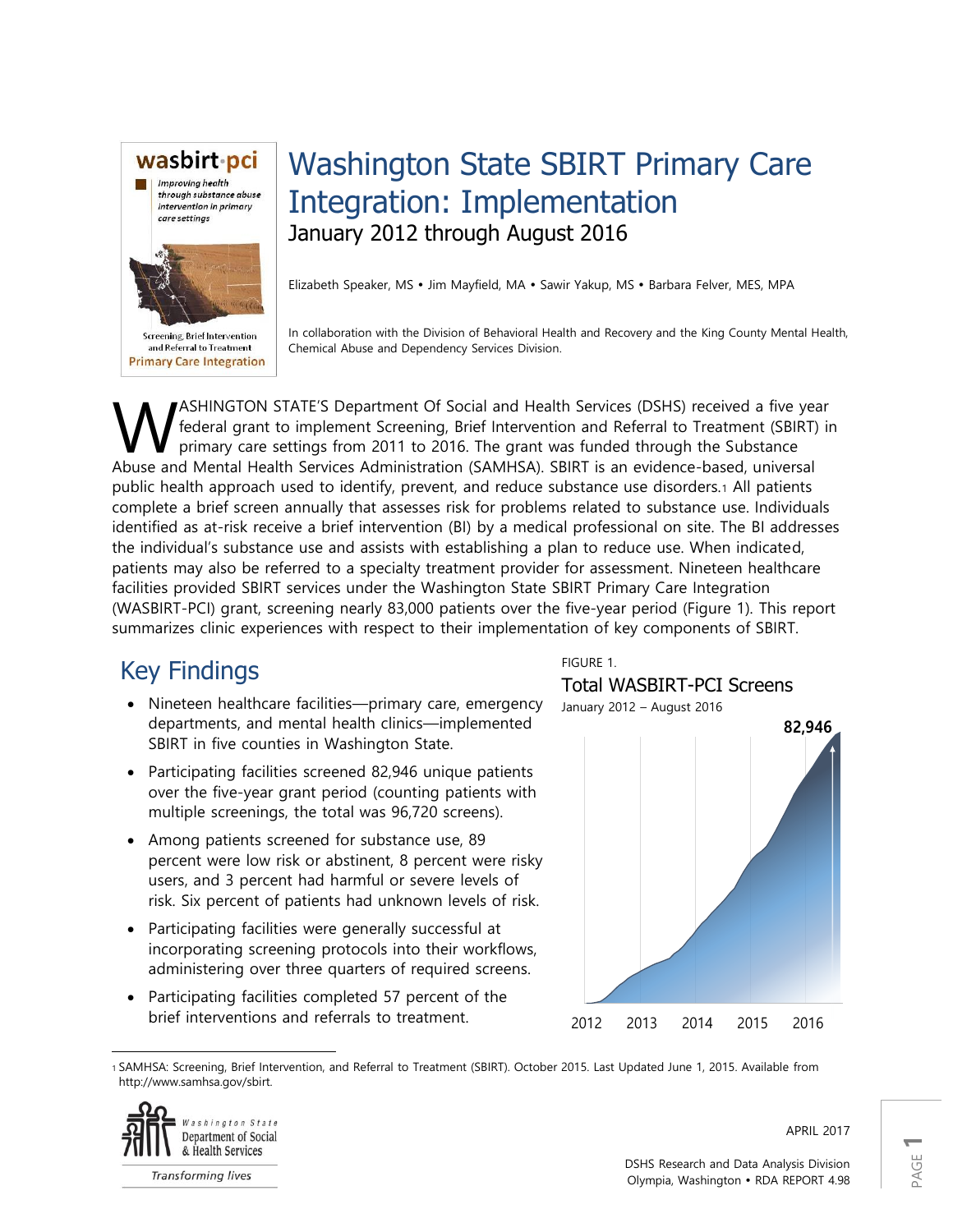

# Washington State SBIRT Primary Care Integration: Implementation January 2012 through August 2016

Elizabeth Speaker, MS · Jim Mayfield, MA · Sawir Yakup, MS · Barbara Felver, MES, MPA

and Referral to Treatment **Primary Care Integration**  In collaboration with the Division of Behavioral Health and Recovery and the King County Mental Health, Chemical Abuse and Dependency Services Division.

ASHINGTON STATE'S Department Of Social and Health Services (DSHS) received a five year federal grant to implement Screening, Brief Intervention and Referral to Treatment (SBIRT) in primary care settings from 2011 to 2016. The grant was funded through the Substance Abuse and Mental Health Services Administration (SAMHSA). SBIRT is an evidence-based, universal public health approach used to identify, prevent, and reduce substance use disorders.<sup>1</sup> All patients complete a brief screen annually that assesses risk for problems related to substance use. Individuals identified as at-risk receive a brief intervention (BI) by a medical professional on site. The BI addresses the individual's substance use and assists with establishing a plan to reduce use. When indicated, patients may also be referred to a specialty treatment provider for assessment. Nineteen healthcare facilities provided SBIRT services under the Washington State SBIRT Primary Care Integration (WASBIRT-PCI) grant, screening nearly 83,000 patients over the five-year period (Figure 1). This report summarizes clinic experiences with respect to their implementation of key components of SBIRT. W

# Key Findings

- Nineteen healthcare facilities—primary care, emergency departments, and mental health clinics—implemented SBIRT in five counties in Washington State.
- Participating facilities screened 82,946 unique patients over the five-year grant period (counting patients with multiple screenings, the total was 96,720 screens).
- Among patients screened for substance use, 89 percent were low risk or abstinent, 8 percent were risky users, and 3 percent had harmful or severe levels of risk. Six percent of patients had unknown levels of risk.
- Participating facilities were generally successful at incorporating screening protocols into their workflows, administering over three quarters of required screens.
- Participating facilities completed 57 percent of the brief interventions and referrals to treatment.





 $\overline{\phantom{a}}$ <sup>1</sup> SAMHSA: Screening, Brief Intervention, and Referral to Treatment (SBIRT). October 2015. Last Updated June 1, 2015. Available from http://www.samhsa.gov/sbirt.



APRIL 2017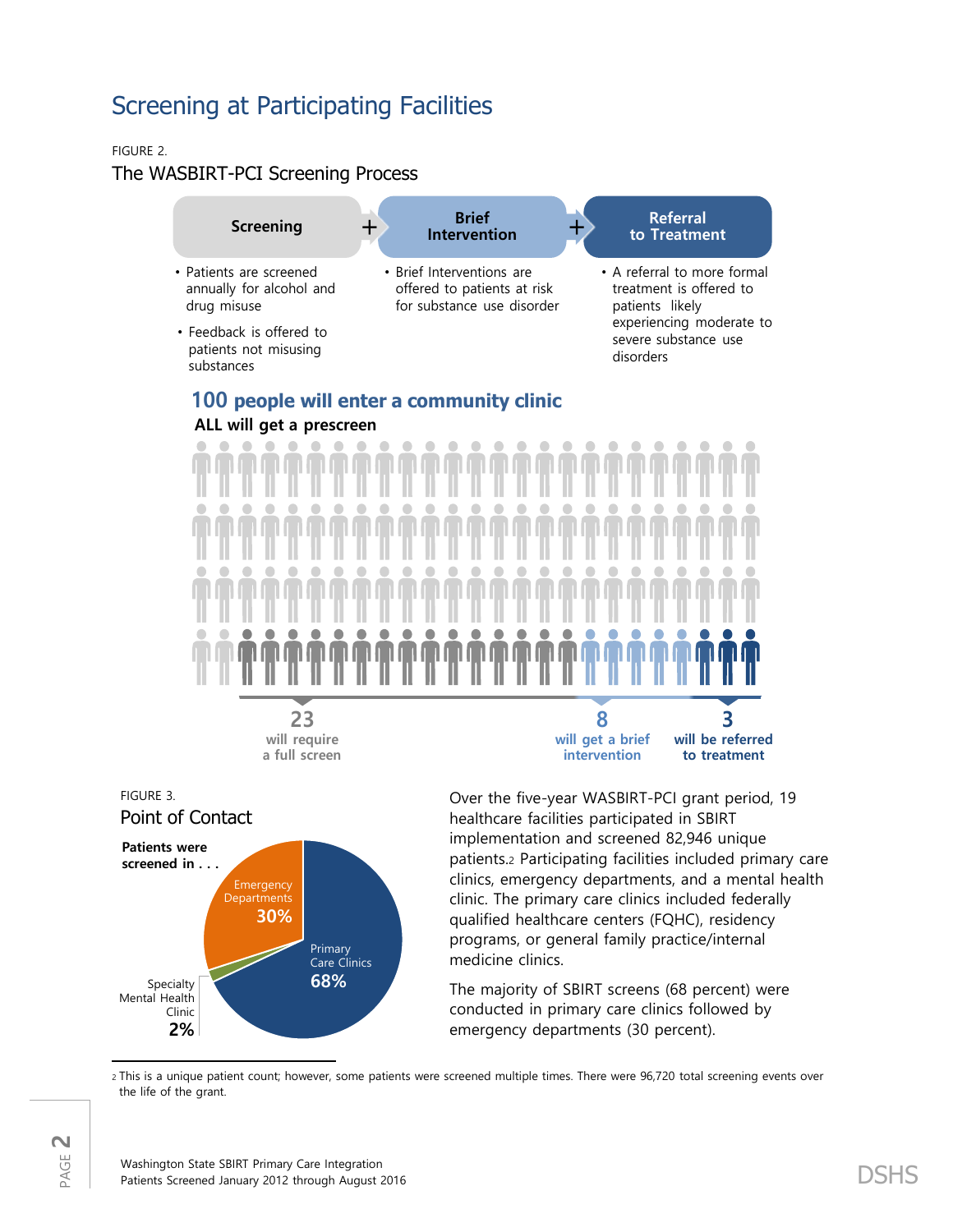## Screening at Participating Facilities

### FIGURE 2. The WASBIRT-PCI Screening Process







Over the five-year WASBIRT-PCI grant period, 19 healthcare facilities participated in SBIRT implementation and screened 82,946 unique patients.<sup>2</sup> Participating facilities included primary care clinics, emergency departments, and a mental health clinic. The primary care clinics included federally qualified healthcare centers (FQHC), residency programs, or general family practice/internal medicine clinics.

The majority of SBIRT screens (68 percent) were conducted in primary care clinics followed by emergency departments (30 percent).

 $\overline{\phantom{a}}$ <sup>2</sup> This is a unique patient count; however, some patients were screened multiple times. There were 96,720 total screening events over the life of the grant.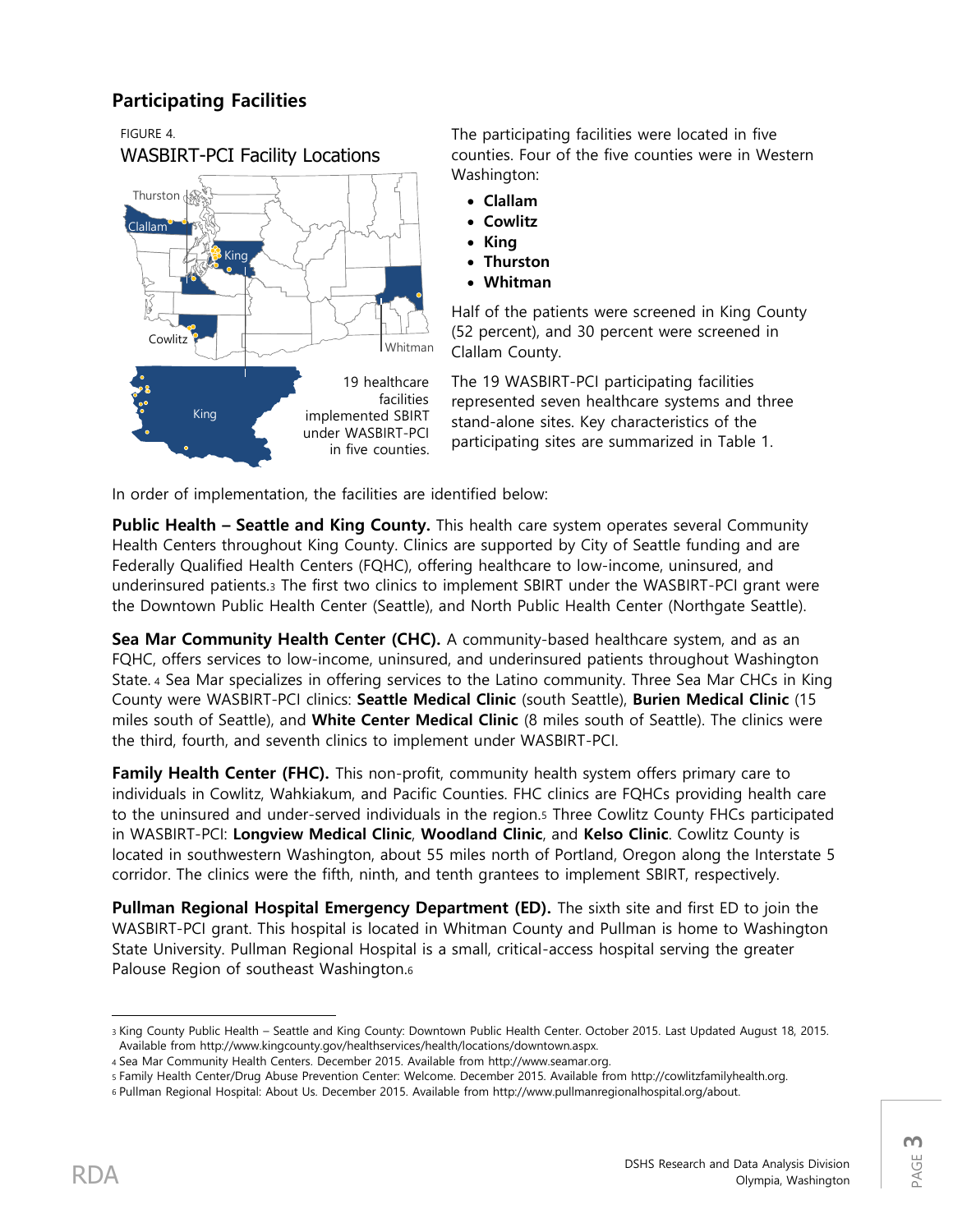## **Participating Facilities**

FIGURE 4. WASBIRT-PCI Facility Locations Clallam Whitman King Cowlitz Thurston <sub>S</sub> King 19 healthcare facilities implemented SBIRT under WASBIRT-PCI in five counties.

The participating facilities were located in five counties. Four of the five counties were in Western Washington:

- **Clallam**
- **Cowlitz**
- **King**
- **Thurston**
- **Whitman**

Half of the patients were screened in King County (52 percent), and 30 percent were screened in Clallam County.

The 19 WASBIRT-PCI participating facilities represented seven healthcare systems and three stand-alone sites. Key characteristics of the participating sites are summarized in Table 1.

In order of implementation, the facilities are identified below:

**Public Health – Seattle and King County.** This health care system operates several Community Health Centers throughout King County. Clinics are supported by City of Seattle funding and are Federally Qualified Health Centers (FQHC), offering healthcare to low-income, uninsured, and underinsured patients.<sup>3</sup> The first two clinics to implement SBIRT under the WASBIRT-PCI grant were the Downtown Public Health Center (Seattle), and North Public Health Center (Northgate Seattle).

**Sea Mar Community Health Center (CHC).** A community-based healthcare system, and as an FQHC, offers services to low-income, uninsured, and underinsured patients throughout Washington State. <sup>4</sup> Sea Mar specializes in offering services to the Latino community. Three Sea Mar CHCs in King County were WASBIRT-PCI clinics: **Seattle Medical Clinic** (south Seattle), **Burien Medical Clinic** (15 miles south of Seattle), and **White Center Medical Clinic** (8 miles south of Seattle). The clinics were the third, fourth, and seventh clinics to implement under WASBIRT-PCI.

**Family Health Center (FHC).** This non-profit, community health system offers primary care to individuals in Cowlitz, Wahkiakum, and Pacific Counties. FHC clinics are FQHCs providing health care to the uninsured and under-served individuals in the region.<sup>5</sup> Three Cowlitz County FHCs participated in WASBIRT-PCI: **Longview Medical Clinic**, **Woodland Clinic**, and **Kelso Clinic**. Cowlitz County is located in southwestern Washington, about 55 miles north of Portland, Oregon along the Interstate 5 corridor. The clinics were the fifth, ninth, and tenth grantees to implement SBIRT, respectively.

**Pullman Regional Hospital Emergency Department (ED).** The sixth site and first ED to join the WASBIRT-PCI grant. This hospital is located in Whitman County and Pullman is home to Washington State University. Pullman Regional Hospital is a small, critical-access hospital serving the greater Palouse Region of southeast Washington.<sup>6</sup>

 $\overline{a}$ <sup>3</sup> King County Public Health – Seattle and King County: Downtown Public Health Center. October 2015. Last Updated August 18, 2015. Available from http://www.kingcounty.gov/healthservices/health/locations/downtown.aspx.

<sup>4</sup> Sea Mar Community Health Centers. December 2015. Available from http://www.seamar.org.

<sup>5</sup> Family Health Center/Drug Abuse Prevention Center: Welcome. December 2015. Available from http://cowlitzfamilyhealth.org.

<sup>6</sup> Pullman Regional Hospital: About Us. December 2015. Available from http://www.pullmanregionalhospital.org/about.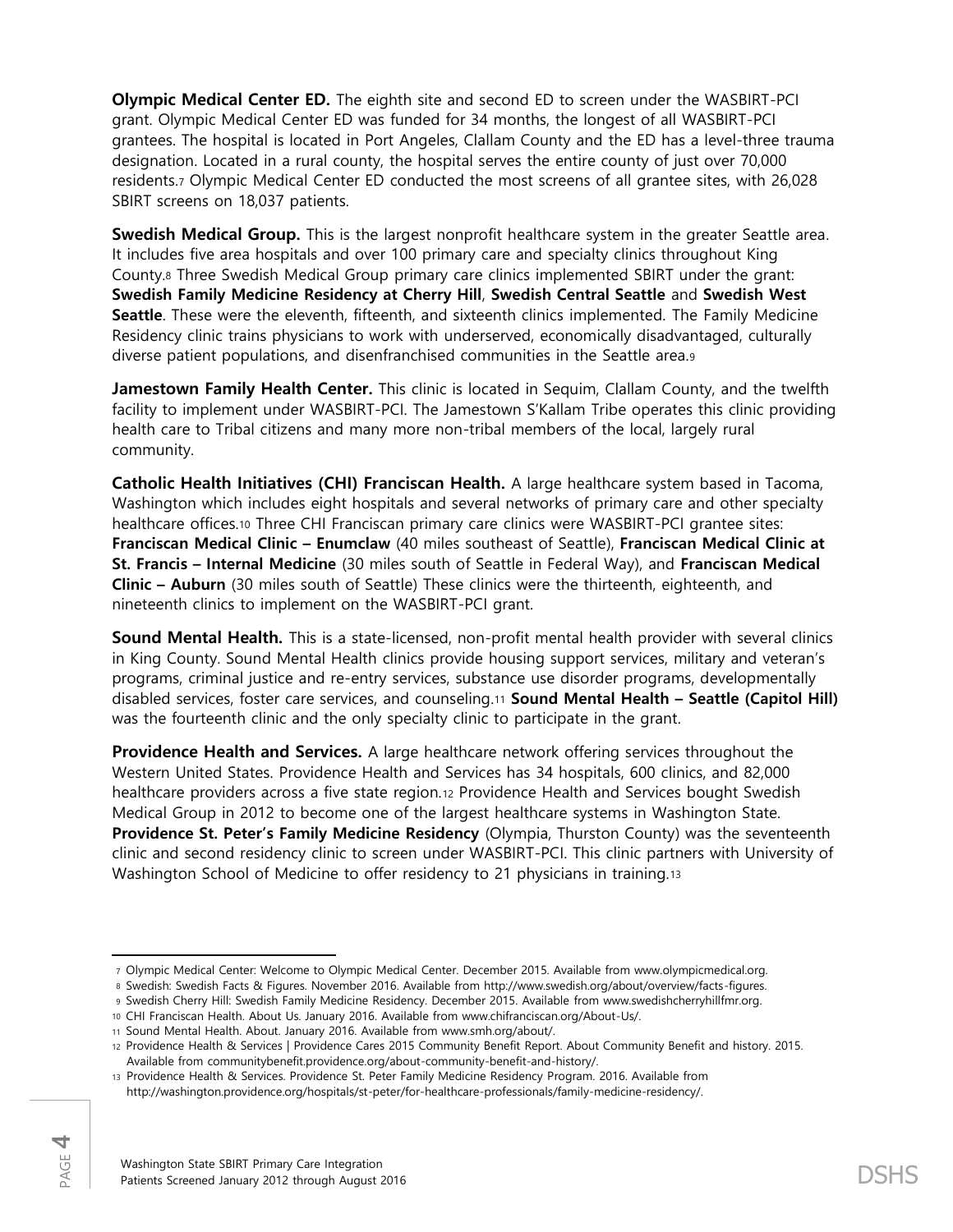**Olympic Medical Center ED.** The eighth site and second ED to screen under the WASBIRT-PCI grant. Olympic Medical Center ED was funded for 34 months, the longest of all WASBIRT-PCI grantees. The hospital is located in Port Angeles, Clallam County and the ED has a level-three trauma designation. Located in a rural county, the hospital serves the entire county of just over 70,000 residents.<sup>7</sup> Olympic Medical Center ED conducted the most screens of all grantee sites, with 26,028 SBIRT screens on 18,037 patients.

**Swedish Medical Group.** This is the largest nonprofit healthcare system in the greater Seattle area. It includes five area hospitals and over 100 primary care and specialty clinics throughout King County.<sup>8</sup> Three Swedish Medical Group primary care clinics implemented SBIRT under the grant: **Swedish Family Medicine Residency at Cherry Hill**, **Swedish Central Seattle** and **Swedish West Seattle**. These were the eleventh, fifteenth, and sixteenth clinics implemented. The Family Medicine Residency clinic trains physicians to work with underserved, economically disadvantaged, culturally diverse patient populations, and disenfranchised communities in the Seattle area.<sup>9</sup>

**Jamestown Family Health Center.** This clinic is located in Sequim, Clallam County, and the twelfth facility to implement under WASBIRT-PCI. The Jamestown S'Kallam Tribe operates this clinic providing health care to Tribal citizens and many more non-tribal members of the local, largely rural community.

**Catholic Health Initiatives (CHI) Franciscan Health.** A large healthcare system based in Tacoma, Washington which includes eight hospitals and several networks of primary care and other specialty healthcare offices.<sup>10</sup> Three CHI Franciscan primary care clinics were WASBIRT-PCI grantee sites: **Franciscan Medical Clinic – Enumclaw** (40 miles southeast of Seattle), **Franciscan Medical Clinic at St. Francis – Internal Medicine** (30 miles south of Seattle in Federal Way), and **Franciscan Medical Clinic – Auburn** (30 miles south of Seattle) These clinics were the thirteenth, eighteenth, and nineteenth clinics to implement on the WASBIRT-PCI grant.

**Sound Mental Health.** This is a state-licensed, non-profit mental health provider with several clinics in King County. Sound Mental Health clinics provide housing support services, military and veteran's programs, criminal justice and re-entry services, substance use disorder programs, developmentally disabled services, foster care services, and counseling.<sup>11</sup> **Sound Mental Health – Seattle (Capitol Hill)** was the fourteenth clinic and the only specialty clinic to participate in the grant.

**Providence Health and Services.** A large healthcare network offering services throughout the Western United States. Providence Health and Services has 34 hospitals, 600 clinics, and 82,000 healthcare providers across a five state region.<sup>12</sup> Providence Health and Services bought Swedish Medical Group in 2012 to become one of the largest healthcare systems in Washington State. **Providence St. Peter's Family Medicine Residency** (Olympia, Thurston County) was the seventeenth clinic and second residency clinic to screen under WASBIRT-PCI. This clinic partners with University of Washington School of Medicine to offer residency to 21 physicians in training.<sup>13</sup>

<sup>9</sup> Swedish Cherry Hill: Swedish Family Medicine Residency. December 2015. Available from www.swedishcherryhillfmr.org.

 $\overline{\phantom{a}}$ <sup>7</sup> Olympic Medical Center: Welcome to Olympic Medical Center. December 2015. Available from www.olympicmedical.org.

<sup>8</sup> Swedish: Swedish Facts & Figures. November 2016. Available from http://www.swedish.org/about/overview/facts-figures.

<sup>10</sup> CHI Franciscan Health. About Us. January 2016. Available from www.chifranciscan.org/About-Us/.

<sup>11</sup> Sound Mental Health. About. January 2016. Available from www.smh.org/about/.

<sup>12</sup> Providence Health & Services | Providence Cares 2015 Community Benefit Report. About Community Benefit and history. 2015. Available from communitybenefit.providence.org/about-community-benefit-and-history/.

<sup>13</sup> Providence Health & Services. Providence St. Peter Family Medicine Residency Program. 2016. Available from http://washington.providence.org/hospitals/st-peter/for-healthcare-professionals/family-medicine-residency/.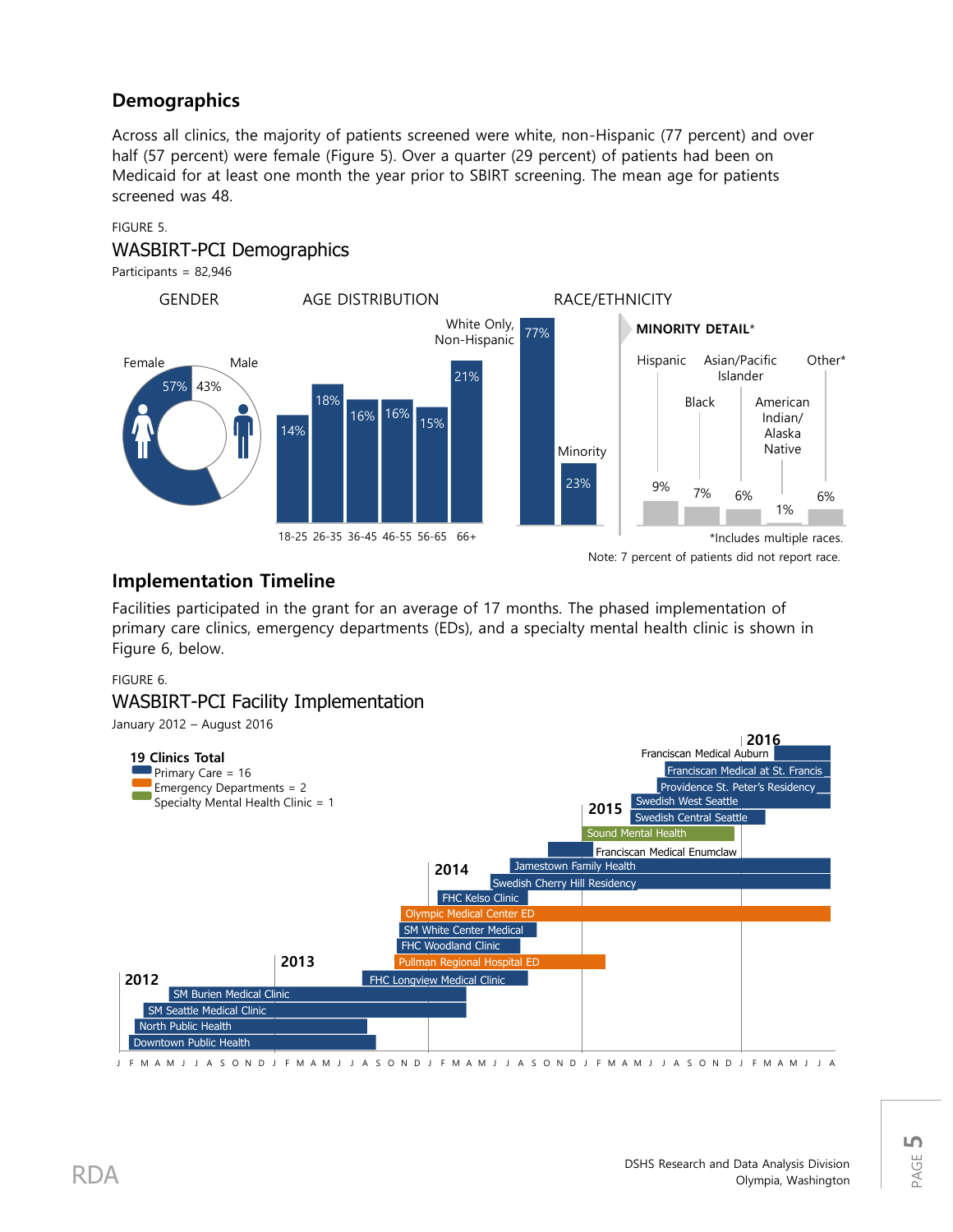## **Demographics**

Across all clinics, the majority of patients screened were white, non-Hispanic (77 percent) and over half (57 percent) were female (Figure 5). Over a quarter (29 percent) of patients had been on Medicaid for at least one month the year prior to SBIRT screening. The mean age for patients screened was 48.

77%

### FIGURE 5. WASBIRT-PCI Demographics

Participants = 82,946





Note: 7 percent of patients did not report race.

## **Implementation Timeline**

Facilities participated in the grant for an average of 17 months. The phased implementation of primary care clinics, emergency departments (EDs), and a specialty mental health clinic is shown in Figure 6, below.

# FIGURE 6.

WASBIRT-PCI Facility Implementation

January 2012 – August 2016

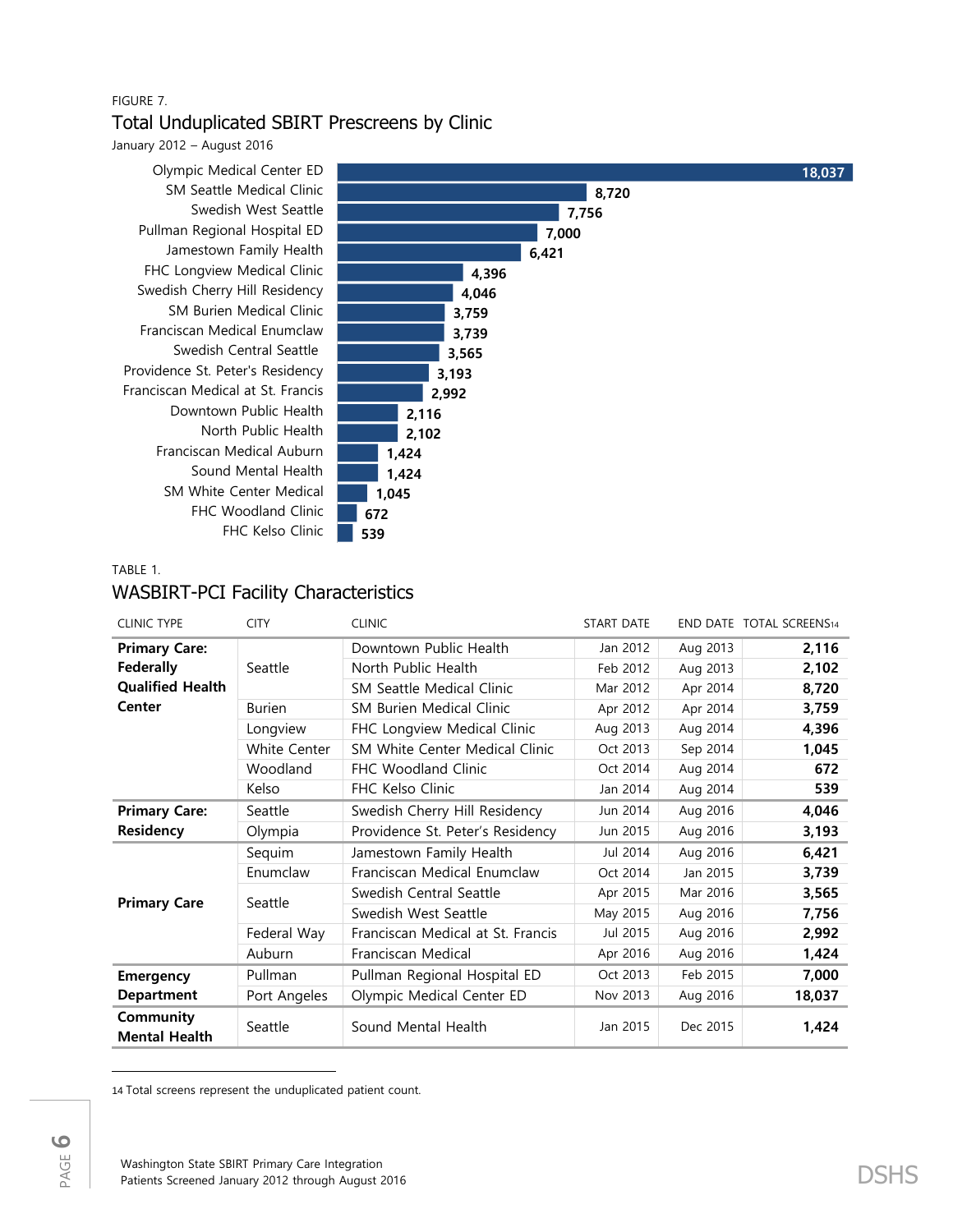#### FIGURE 7.

### Total Unduplicated SBIRT Prescreens by Clinic

January 2012 – August 2016

FHC Kelso Clinic FHC Woodland Clinic SM White Center Medical Sound Mental Health Franciscan Medical Auburn North Public Health Downtown Public Health Franciscan Medical at St. Francis Providence St. Peter's Residency Swedish Central Seattle Franciscan Medical Enumclaw SM Burien Medical Clinic Swedish Cherry Hill Residency FHC Longview Medical Clinic Jamestown Family Health Pullman Regional Hospital ED Swedish West Seattle SM Seattle Medical Clinic Olympic Medical Center ED



#### TABLE 1.

### WASBIRT-PCI Facility Characteristics

| <b>CLINIC TYPE</b>                | <b>CITY</b>  | <b>CLINIC</b>                     | <b>START DATE</b> |          | <b>END DATE TOTAL SCREENS14</b> |
|-----------------------------------|--------------|-----------------------------------|-------------------|----------|---------------------------------|
| <b>Primary Care:</b>              |              | Downtown Public Health            | Jan 2012          | Aug 2013 | 2,116                           |
| Federally                         | Seattle      | North Public Health               | Feb 2012          | Aug 2013 | 2,102                           |
| <b>Qualified Health</b>           |              | SM Seattle Medical Clinic         | Mar 2012          | Apr 2014 | 8,720                           |
| Center                            | Burien       | <b>SM Burien Medical Clinic</b>   | Apr 2012          | Apr 2014 | 3,759                           |
|                                   | Longview     | FHC Longview Medical Clinic       | Aug 2013          | Aug 2014 | 4,396                           |
|                                   | White Center | SM White Center Medical Clinic    | Oct 2013          | Sep 2014 | 1,045                           |
|                                   | Woodland     | FHC Woodland Clinic               | Oct 2014          | Aug 2014 | 672                             |
|                                   | Kelso        | FHC Kelso Clinic                  | Jan 2014          | Aug 2014 | 539                             |
| <b>Primary Care:</b>              | Seattle      | Swedish Cherry Hill Residency     | Jun 2014          | Aug 2016 | 4,046                           |
| Residency                         | Olympia      | Providence St. Peter's Residency  | Jun 2015          | Aug 2016 | 3,193                           |
|                                   | Sequim       | Jamestown Family Health           | Jul 2014          | Aug 2016 | 6,421                           |
|                                   | Enumclaw     | Franciscan Medical Enumclaw       | Oct 2014          | Jan 2015 | 3,739                           |
|                                   | Seattle      | Swedish Central Seattle           | Apr 2015          | Mar 2016 | 3,565                           |
| <b>Primary Care</b>               |              | Swedish West Seattle              | May 2015          | Aug 2016 | 7,756                           |
|                                   | Federal Way  | Franciscan Medical at St. Francis | Jul 2015          | Aug 2016 | 2,992                           |
|                                   | Auburn       | Franciscan Medical                | Apr 2016          | Aug 2016 | 1,424                           |
| <b>Emergency</b>                  | Pullman      | Pullman Regional Hospital ED      | Oct 2013          | Feb 2015 | 7,000                           |
| <b>Department</b>                 | Port Angeles | Olympic Medical Center ED         | Nov 2013          | Aug 2016 | 18,037                          |
| Community<br><b>Mental Health</b> | Seattle      | Sound Mental Health               | Jan 2015          | Dec 2015 | 1,424                           |

14 Total screens represent the unduplicated patient count.

 $\overline{a}$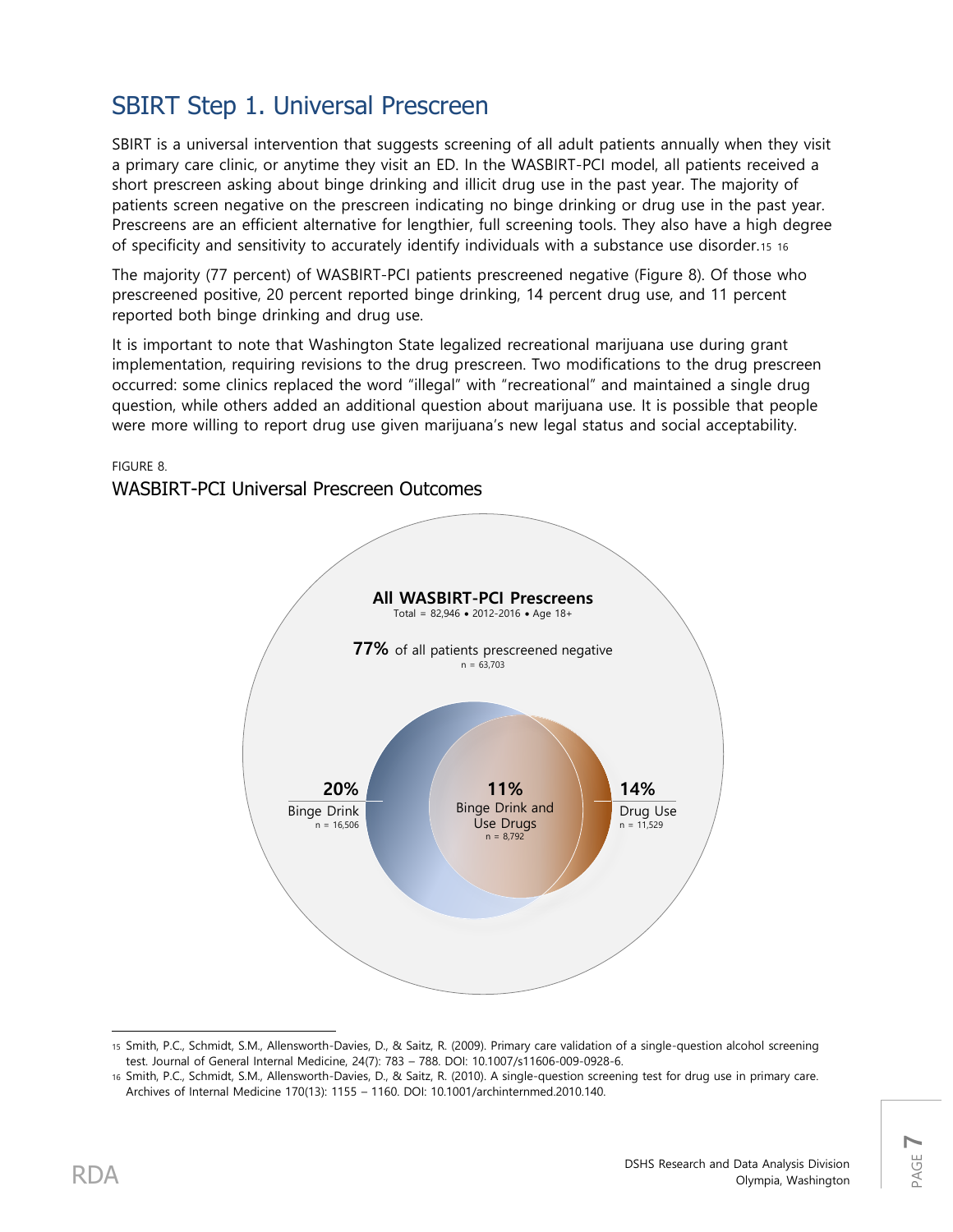## SBIRT Step 1. Universal Prescreen

SBIRT is a universal intervention that suggests screening of all adult patients annually when they visit a primary care clinic, or anytime they visit an ED. In the WASBIRT-PCI model, all patients received a short prescreen asking about binge drinking and illicit drug use in the past year. The majority of patients screen negative on the prescreen indicating no binge drinking or drug use in the past year. Prescreens are an efficient alternative for lengthier, full screening tools. They also have a high degree of specificity and sensitivity to accurately identify individuals with a substance use disorder.<sup>15</sup> <sup>16</sup>

The majority (77 percent) of WASBIRT-PCI patients prescreened negative (Figure 8). Of those who prescreened positive, 20 percent reported binge drinking, 14 percent drug use, and 11 percent reported both binge drinking and drug use.

It is important to note that Washington State legalized recreational marijuana use during grant implementation, requiring revisions to the drug prescreen. Two modifications to the drug prescreen occurred: some clinics replaced the word "illegal" with "recreational" and maintained a single drug question, while others added an additional question about marijuana use. It is possible that people were more willing to report drug use given marijuana's new legal status and social acceptability.



### FIGURE 8. WASBIRT-PCI Universal Prescreen Outcomes

 $\overline{a}$ <sup>15</sup> Smith, P.C., Schmidt, S.M., Allensworth-Davies, D., & Saitz, R. (2009). Primary care validation of a single-question alcohol screening test. Journal of General Internal Medicine, 24(7): 783 – 788. DOI: 10.1007/s11606-009-0928-6.

<sup>16</sup> Smith, P.C., Schmidt, S.M., Allensworth-Davies, D., & Saitz, R. (2010). A single-question screening test for drug use in primary care. Archives of Internal Medicine 170(13): 1155 – 1160. DOI: 10.1001/archinternmed.2010.140.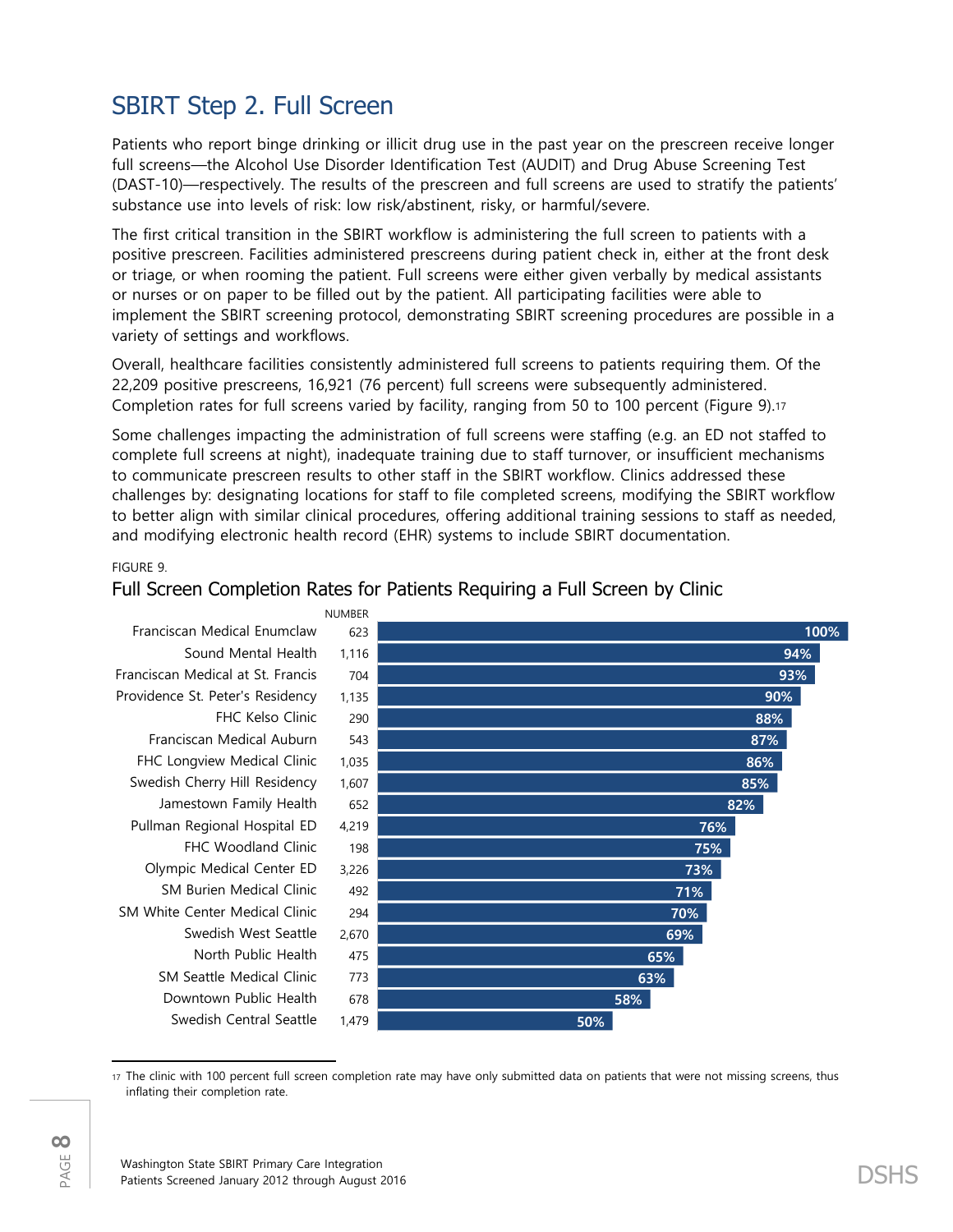## SBIRT Step 2. Full Screen

Patients who report binge drinking or illicit drug use in the past year on the prescreen receive longer full screens—the Alcohol Use Disorder Identification Test (AUDIT) and Drug Abuse Screening Test (DAST-10)—respectively. The results of the prescreen and full screens are used to stratify the patients' substance use into levels of risk: low risk/abstinent, risky, or harmful/severe.

The first critical transition in the SBIRT workflow is administering the full screen to patients with a positive prescreen. Facilities administered prescreens during patient check in, either at the front desk or triage, or when rooming the patient. Full screens were either given verbally by medical assistants or nurses or on paper to be filled out by the patient. All participating facilities were able to implement the SBIRT screening protocol, demonstrating SBIRT screening procedures are possible in a variety of settings and workflows.

Overall, healthcare facilities consistently administered full screens to patients requiring them. Of the 22,209 positive prescreens, 16,921 (76 percent) full screens were subsequently administered. Completion rates for full screens varied by facility, ranging from 50 to 100 percent (Figure 9).<sup>17</sup>

Some challenges impacting the administration of full screens were staffing (e.g. an ED not staffed to complete full screens at night), inadequate training due to staff turnover, or insufficient mechanisms to communicate prescreen results to other staff in the SBIRT workflow. Clinics addressed these challenges by: designating locations for staff to file completed screens, modifying the SBIRT workflow to better align with similar clinical procedures, offering additional training sessions to staff as needed, and modifying electronic health record (EHR) systems to include SBIRT documentation.

#### FIGURE 9.

### Full Screen Completion Rates for Patients Requiring a Full Screen by Clinic



 $\overline{\phantom{a}}$ 17 The clinic with 100 percent full screen completion rate may have only submitted data on patients that were not missing screens, thus inflating their completion rate.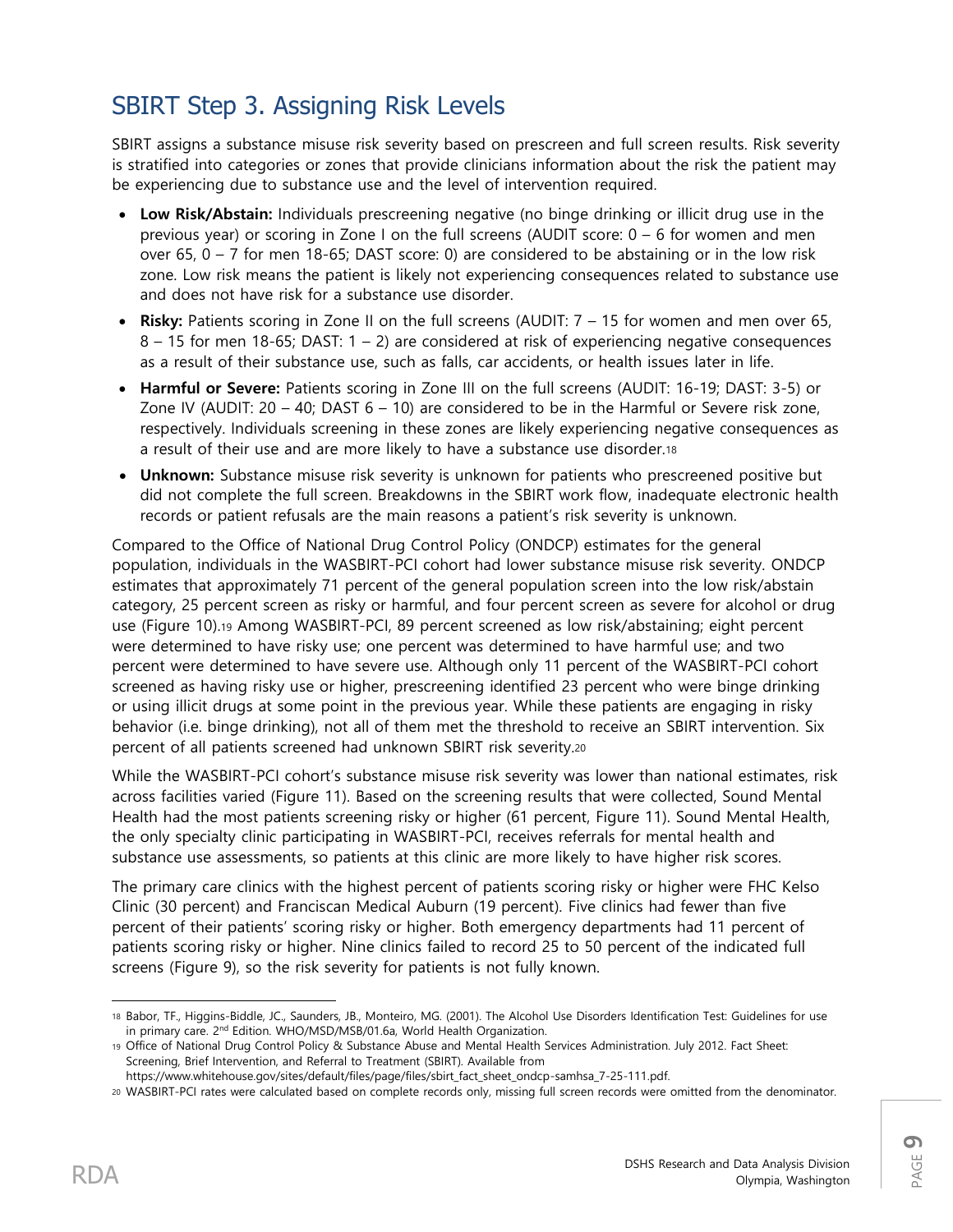## SBIRT Step 3. Assigning Risk Levels

SBIRT assigns a substance misuse risk severity based on prescreen and full screen results. Risk severity is stratified into categories or zones that provide clinicians information about the risk the patient may be experiencing due to substance use and the level of intervention required.

- **Low Risk/Abstain:** Individuals prescreening negative (no binge drinking or illicit drug use in the previous year) or scoring in Zone I on the full screens (AUDIT score: 0 – 6 for women and men over 65, 0 – 7 for men 18-65; DAST score: 0) are considered to be abstaining or in the low risk zone. Low risk means the patient is likely not experiencing consequences related to substance use and does not have risk for a substance use disorder.
- **Risky:** Patients scoring in Zone II on the full screens (AUDIT: 7 15 for women and men over 65, 8 – 15 for men 18-65; DAST: 1 – 2) are considered at risk of experiencing negative consequences as a result of their substance use, such as falls, car accidents, or health issues later in life.
- **Harmful or Severe:** Patients scoring in Zone III on the full screens (AUDIT: 16-19; DAST: 3-5) or Zone IV (AUDIT: 20 – 40; DAST 6 – 10) are considered to be in the Harmful or Severe risk zone, respectively. Individuals screening in these zones are likely experiencing negative consequences as a result of their use and are more likely to have a substance use disorder.<sup>18</sup>
- **Unknown:** Substance misuse risk severity is unknown for patients who prescreened positive but did not complete the full screen. Breakdowns in the SBIRT work flow, inadequate electronic health records or patient refusals are the main reasons a patient's risk severity is unknown.

Compared to the Office of National Drug Control Policy (ONDCP) estimates for the general population, individuals in the WASBIRT-PCI cohort had lower substance misuse risk severity. ONDCP estimates that approximately 71 percent of the general population screen into the low risk/abstain category, 25 percent screen as risky or harmful, and four percent screen as severe for alcohol or drug use (Figure 10).<sup>19</sup> Among WASBIRT-PCI, 89 percent screened as low risk/abstaining; eight percent were determined to have risky use; one percent was determined to have harmful use; and two percent were determined to have severe use. Although only 11 percent of the WASBIRT-PCI cohort screened as having risky use or higher, prescreening identified 23 percent who were binge drinking or using illicit drugs at some point in the previous year. While these patients are engaging in risky behavior (i.e. binge drinking), not all of them met the threshold to receive an SBIRT intervention. Six percent of all patients screened had unknown SBIRT risk severity.<sup>20</sup>

While the WASBIRT-PCI cohort's substance misuse risk severity was lower than national estimates, risk across facilities varied (Figure 11). Based on the screening results that were collected, Sound Mental Health had the most patients screening risky or higher (61 percent, Figure 11). Sound Mental Health, the only specialty clinic participating in WASBIRT-PCI, receives referrals for mental health and substance use assessments, so patients at this clinic are more likely to have higher risk scores.

The primary care clinics with the highest percent of patients scoring risky or higher were FHC Kelso Clinic (30 percent) and Franciscan Medical Auburn (19 percent). Five clinics had fewer than five percent of their patients' scoring risky or higher. Both emergency departments had 11 percent of patients scoring risky or higher. Nine clinics failed to record 25 to 50 percent of the indicated full screens (Figure 9), so the risk severity for patients is not fully known.

 $\overline{a}$ <sup>18</sup> Babor, TF., Higgins-Biddle, JC., Saunders, JB., Monteiro, MG. (2001). The Alcohol Use Disorders Identification Test: Guidelines for use in primary care. 2<sup>nd</sup> Edition. WHO/MSD/MSB/01.6a, World Health Organization.

<sup>19</sup> Office of National Drug Control Policy & Substance Abuse and Mental Health Services Administration. July 2012. Fact Sheet: Screening, Brief Intervention, and Referral to Treatment (SBIRT). Available from

https://www.whitehouse.gov/sites/default/files/page/files/sbirt\_fact\_sheet\_ondcp-samhsa\_7-25-111.pdf.

<sup>20</sup> WASBIRT-PCI rates were calculated based on complete records only, missing full screen records were omitted from the denominator.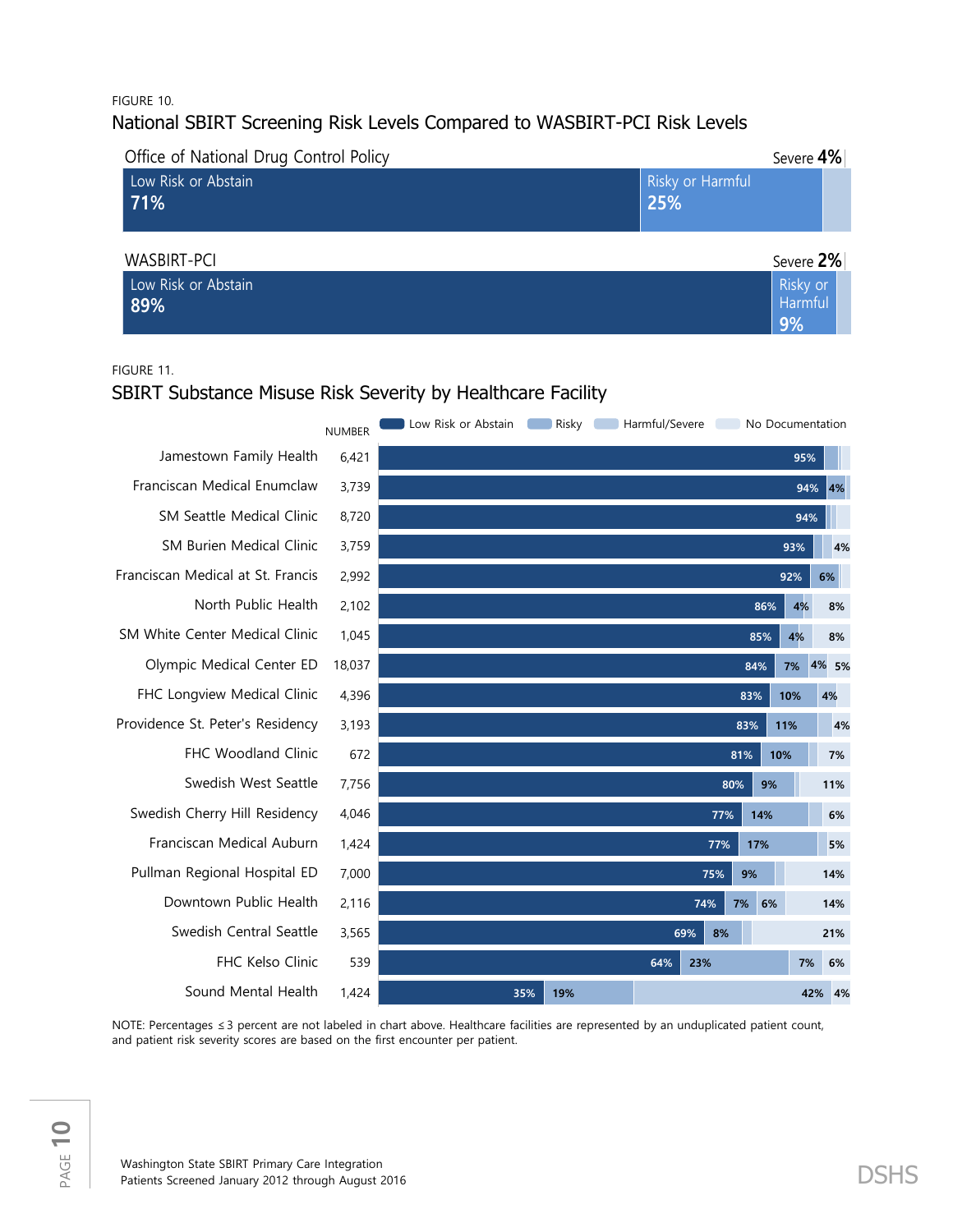#### FIGURE 10.

### National SBIRT Screening Risk Levels Compared to WASBIRT-PCI Risk Levels

| Office of National Drug Control Policy | Severe 4%                 |
|----------------------------------------|---------------------------|
| Low Risk or Abstain<br>71%             | Risky or Harmful<br>25%   |
| <b>WASBIRT-PCI</b>                     | Severe 2%                 |
| Low Risk or Abstain<br>89%             | Risky or<br>Harmful<br>9% |

#### FIGURE 11.

### SBIRT Substance Misuse Risk Severity by Healthcare Facility



NOTE: Percentages ≤3 percent are not labeled in chart above. Healthcare facilities are represented by an unduplicated patient count, and patient risk severity scores are based on the first encounter per patient.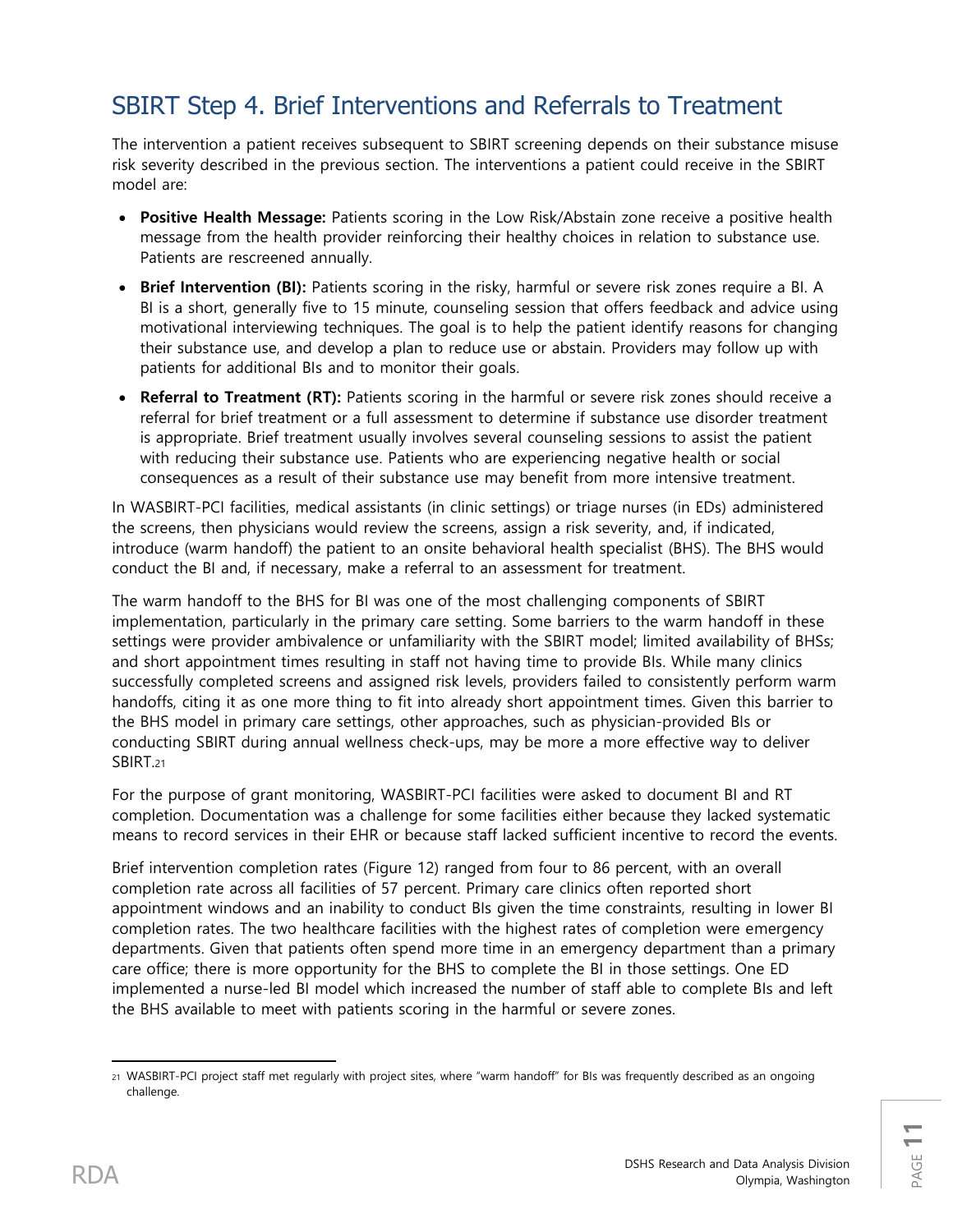## SBIRT Step 4. Brief Interventions and Referrals to Treatment

The intervention a patient receives subsequent to SBIRT screening depends on their substance misuse risk severity described in the previous section. The interventions a patient could receive in the SBIRT model are:

- **Positive Health Message:** Patients scoring in the Low Risk/Abstain zone receive a positive health message from the health provider reinforcing their healthy choices in relation to substance use. Patients are rescreened annually.
- **Brief Intervention (BI):** Patients scoring in the risky, harmful or severe risk zones require a BI. A BI is a short, generally five to 15 minute, counseling session that offers feedback and advice using motivational interviewing techniques. The goal is to help the patient identify reasons for changing their substance use, and develop a plan to reduce use or abstain. Providers may follow up with patients for additional BIs and to monitor their goals.
- **Referral to Treatment (RT):** Patients scoring in the harmful or severe risk zones should receive a referral for brief treatment or a full assessment to determine if substance use disorder treatment is appropriate. Brief treatment usually involves several counseling sessions to assist the patient with reducing their substance use. Patients who are experiencing negative health or social consequences as a result of their substance use may benefit from more intensive treatment.

In WASBIRT-PCI facilities, medical assistants (in clinic settings) or triage nurses (in EDs) administered the screens, then physicians would review the screens, assign a risk severity, and, if indicated, introduce (warm handoff) the patient to an onsite behavioral health specialist (BHS). The BHS would conduct the BI and, if necessary, make a referral to an assessment for treatment.

The warm handoff to the BHS for BI was one of the most challenging components of SBIRT implementation, particularly in the primary care setting. Some barriers to the warm handoff in these settings were provider ambivalence or unfamiliarity with the SBIRT model; limited availability of BHSs; and short appointment times resulting in staff not having time to provide BIs. While many clinics successfully completed screens and assigned risk levels, providers failed to consistently perform warm handoffs, citing it as one more thing to fit into already short appointment times. Given this barrier to the BHS model in primary care settings, other approaches, such as physician-provided BIs or conducting SBIRT during annual wellness check-ups, may be more a more effective way to deliver SBIRT.<sup>21</sup>

For the purpose of grant monitoring, WASBIRT-PCI facilities were asked to document BI and RT completion. Documentation was a challenge for some facilities either because they lacked systematic means to record services in their EHR or because staff lacked sufficient incentive to record the events.

Brief intervention completion rates (Figure 12) ranged from four to 86 percent, with an overall completion rate across all facilities of 57 percent. Primary care clinics often reported short appointment windows and an inability to conduct BIs given the time constraints, resulting in lower BI completion rates. The two healthcare facilities with the highest rates of completion were emergency departments. Given that patients often spend more time in an emergency department than a primary care office; there is more opportunity for the BHS to complete the BI in those settings. One ED implemented a nurse-led BI model which increased the number of staff able to complete BIs and left the BHS available to meet with patients scoring in the harmful or severe zones.

 $\overline{\phantom{a}}$ <sup>21</sup> WASBIRT-PCI project staff met regularly with project sites, where "warm handoff" for BIs was frequently described as an ongoing challenge.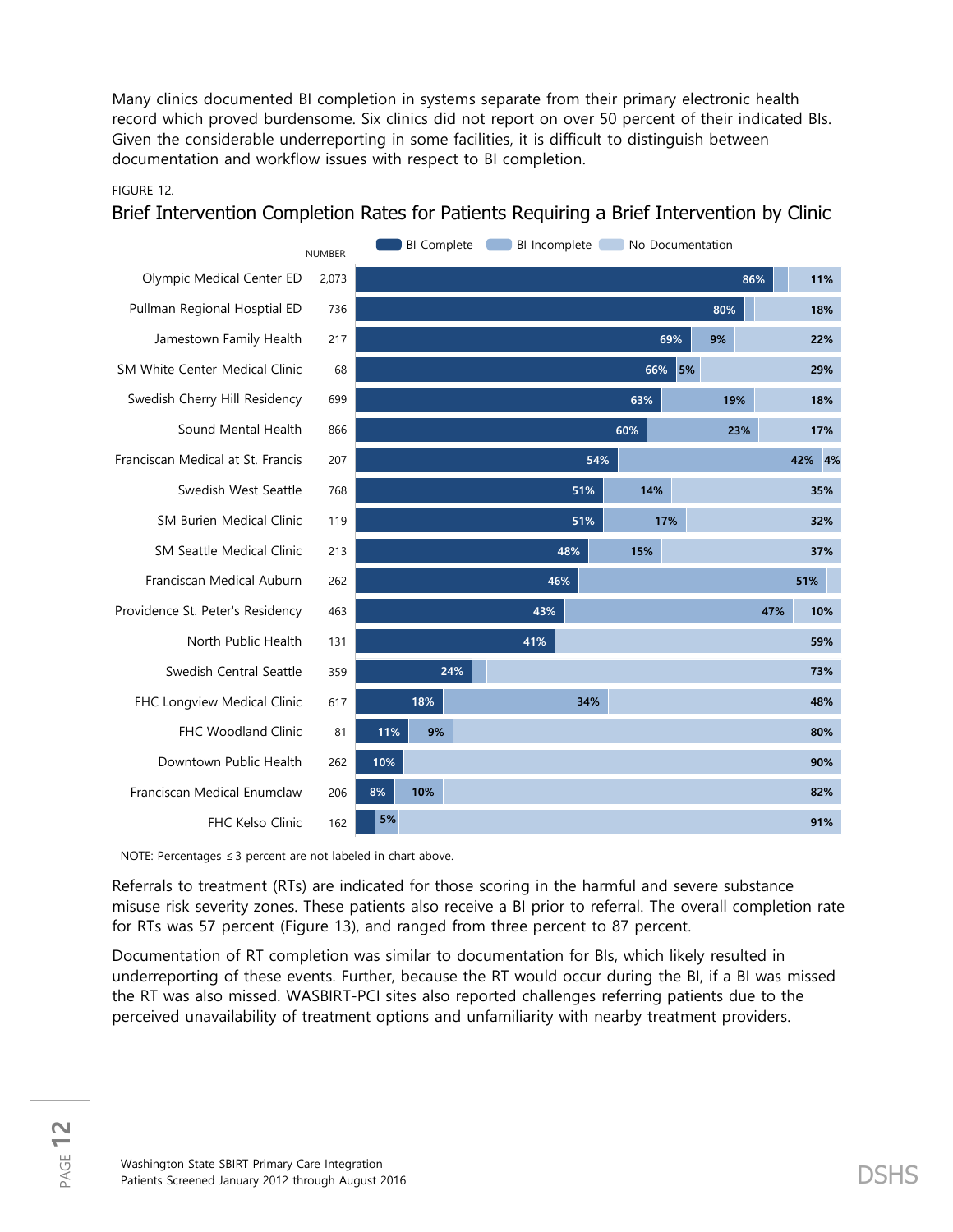Many clinics documented BI completion in systems separate from their primary electronic health record which proved burdensome. Six clinics did not report on over 50 percent of their indicated BIs. Given the considerable underreporting in some facilities, it is difficult to distinguish between documentation and workflow issues with respect to BI completion.

#### FIGURE 12.

### Brief Intervention Completion Rates for Patients Requiring a Brief Intervention by Clinic



NOTE: Percentages ≤3 percent are not labeled in chart above.

Referrals to treatment (RTs) are indicated for those scoring in the harmful and severe substance misuse risk severity zones. These patients also receive a BI prior to referral. The overall completion rate for RTs was 57 percent (Figure 13), and ranged from three percent to 87 percent.

Documentation of RT completion was similar to documentation for BIs, which likely resulted in underreporting of these events. Further, because the RT would occur during the BI, if a BI was missed the RT was also missed. WASBIRT-PCI sites also reported challenges referring patients due to the perceived unavailability of treatment options and unfamiliarity with nearby treatment providers.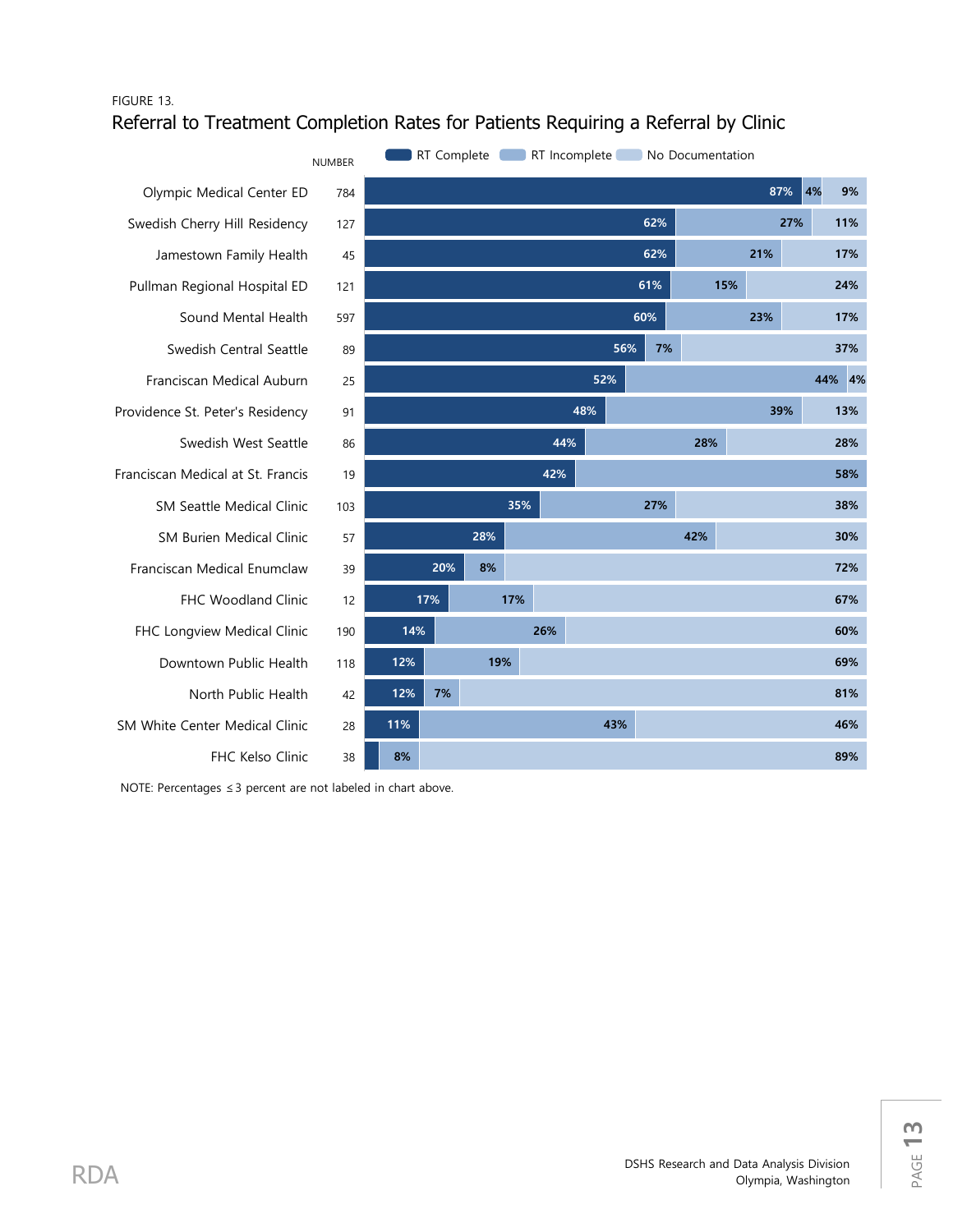### FIGURE 13. Referral to Treatment Completion Rates for Patients Requiring a Referral by Clinic

|                                   | <b>NUMBER</b> |     |     |     | RT Complete RT Incomplete No Documentation |     |     |     |     |     |     |     |     |
|-----------------------------------|---------------|-----|-----|-----|--------------------------------------------|-----|-----|-----|-----|-----|-----|-----|-----|
| Olympic Medical Center ED         | 784           |     |     |     |                                            |     |     |     |     | 87% | 4%  |     | 9%  |
| Swedish Cherry Hill Residency     | 127           |     |     |     |                                            |     | 62% |     |     |     | 27% |     | 11% |
| Jamestown Family Health           | 45            |     |     |     |                                            |     | 62% |     |     | 21% |     |     | 17% |
| Pullman Regional Hospital ED      | 121           |     |     |     |                                            |     | 61% |     | 15% |     |     |     | 24% |
| Sound Mental Health               | 597           |     |     |     |                                            |     | 60% |     |     | 23% |     |     | 17% |
| Swedish Central Seattle           | 89            |     |     |     |                                            |     | 56% | 7%  |     |     |     |     | 37% |
| Franciscan Medical Auburn         | 25            |     |     |     |                                            | 52% |     |     |     |     |     | 44% | 4%  |
| Providence St. Peter's Residency  | 91            |     |     |     |                                            | 48% |     |     |     | 39% |     |     | 13% |
| Swedish West Seattle              | 86            |     |     |     | 44%                                        |     |     | 28% |     |     |     |     | 28% |
| Franciscan Medical at St. Francis | 19            |     |     |     | 42%                                        |     |     |     |     |     |     |     | 58% |
| <b>SM Seattle Medical Clinic</b>  | 103           |     |     |     | 35%                                        |     | 27% |     |     |     |     |     | 38% |
| SM Burien Medical Clinic          | 57            |     |     | 28% |                                            |     |     | 42% |     |     |     |     | 30% |
| Franciscan Medical Enumclaw       | 39            |     | 20% | 8%  |                                            |     |     |     |     |     |     |     | 72% |
| FHC Woodland Clinic               | 12            |     | 17% |     | 17%                                        |     |     |     |     |     |     |     | 67% |
| FHC Longview Medical Clinic       | 190           | 14% |     |     | 26%                                        |     |     |     |     |     |     |     | 60% |
| Downtown Public Health            | 118           | 12% |     | 19% |                                            |     |     |     |     |     |     |     | 69% |
| North Public Health               | 42            | 12% | 7%  |     |                                            |     |     |     |     |     |     |     | 81% |
| SM White Center Medical Clinic    | 28            | 11% |     |     |                                            |     | 43% |     |     |     |     |     | 46% |
| FHC Kelso Clinic                  | 38            | 8%  |     |     |                                            |     |     |     |     |     |     |     | 89% |

NOTE: Percentages ≤3 percent are not labeled in chart above.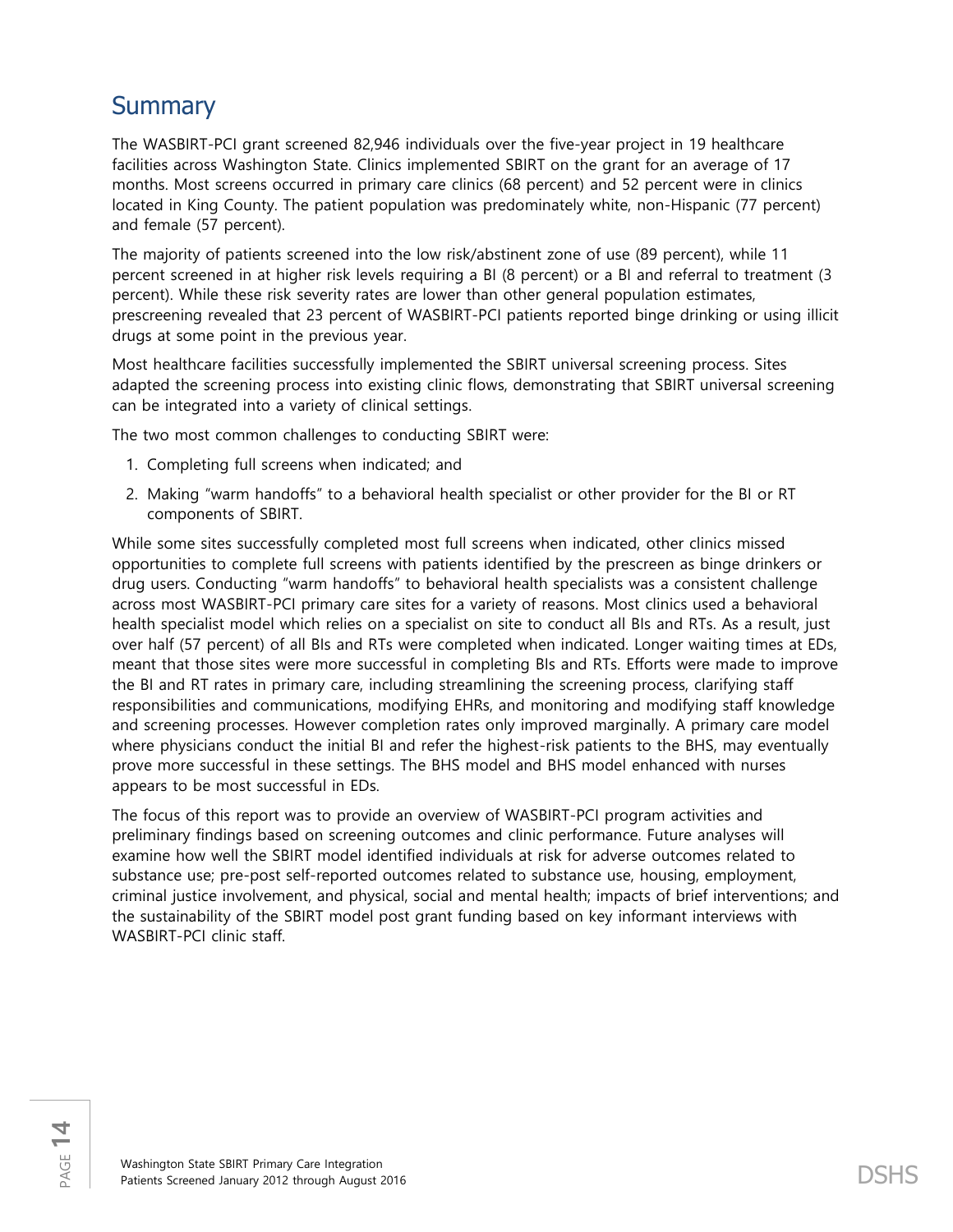## **Summary**

The WASBIRT-PCI grant screened 82,946 individuals over the five-year project in 19 healthcare facilities across Washington State. Clinics implemented SBIRT on the grant for an average of 17 months. Most screens occurred in primary care clinics (68 percent) and 52 percent were in clinics located in King County. The patient population was predominately white, non-Hispanic (77 percent) and female (57 percent).

The majority of patients screened into the low risk/abstinent zone of use (89 percent), while 11 percent screened in at higher risk levels requiring a BI (8 percent) or a BI and referral to treatment (3 percent). While these risk severity rates are lower than other general population estimates, prescreening revealed that 23 percent of WASBIRT-PCI patients reported binge drinking or using illicit drugs at some point in the previous year.

Most healthcare facilities successfully implemented the SBIRT universal screening process. Sites adapted the screening process into existing clinic flows, demonstrating that SBIRT universal screening can be integrated into a variety of clinical settings.

The two most common challenges to conducting SBIRT were:

- 1. Completing full screens when indicated; and
- 2. Making "warm handoffs" to a behavioral health specialist or other provider for the BI or RT components of SBIRT.

While some sites successfully completed most full screens when indicated, other clinics missed opportunities to complete full screens with patients identified by the prescreen as binge drinkers or drug users. Conducting "warm handoffs" to behavioral health specialists was a consistent challenge across most WASBIRT-PCI primary care sites for a variety of reasons. Most clinics used a behavioral health specialist model which relies on a specialist on site to conduct all BIs and RTs. As a result, just over half (57 percent) of all BIs and RTs were completed when indicated. Longer waiting times at EDs, meant that those sites were more successful in completing BIs and RTs. Efforts were made to improve the BI and RT rates in primary care, including streamlining the screening process, clarifying staff responsibilities and communications, modifying EHRs, and monitoring and modifying staff knowledge and screening processes. However completion rates only improved marginally. A primary care model where physicians conduct the initial BI and refer the highest-risk patients to the BHS, may eventually prove more successful in these settings. The BHS model and BHS model enhanced with nurses appears to be most successful in EDs.

The focus of this report was to provide an overview of WASBIRT-PCI program activities and preliminary findings based on screening outcomes and clinic performance. Future analyses will examine how well the SBIRT model identified individuals at risk for adverse outcomes related to substance use; pre-post self-reported outcomes related to substance use, housing, employment, criminal justice involvement, and physical, social and mental health; impacts of brief interventions; and the sustainability of the SBIRT model post grant funding based on key informant interviews with WASBIRT-PCI clinic staff.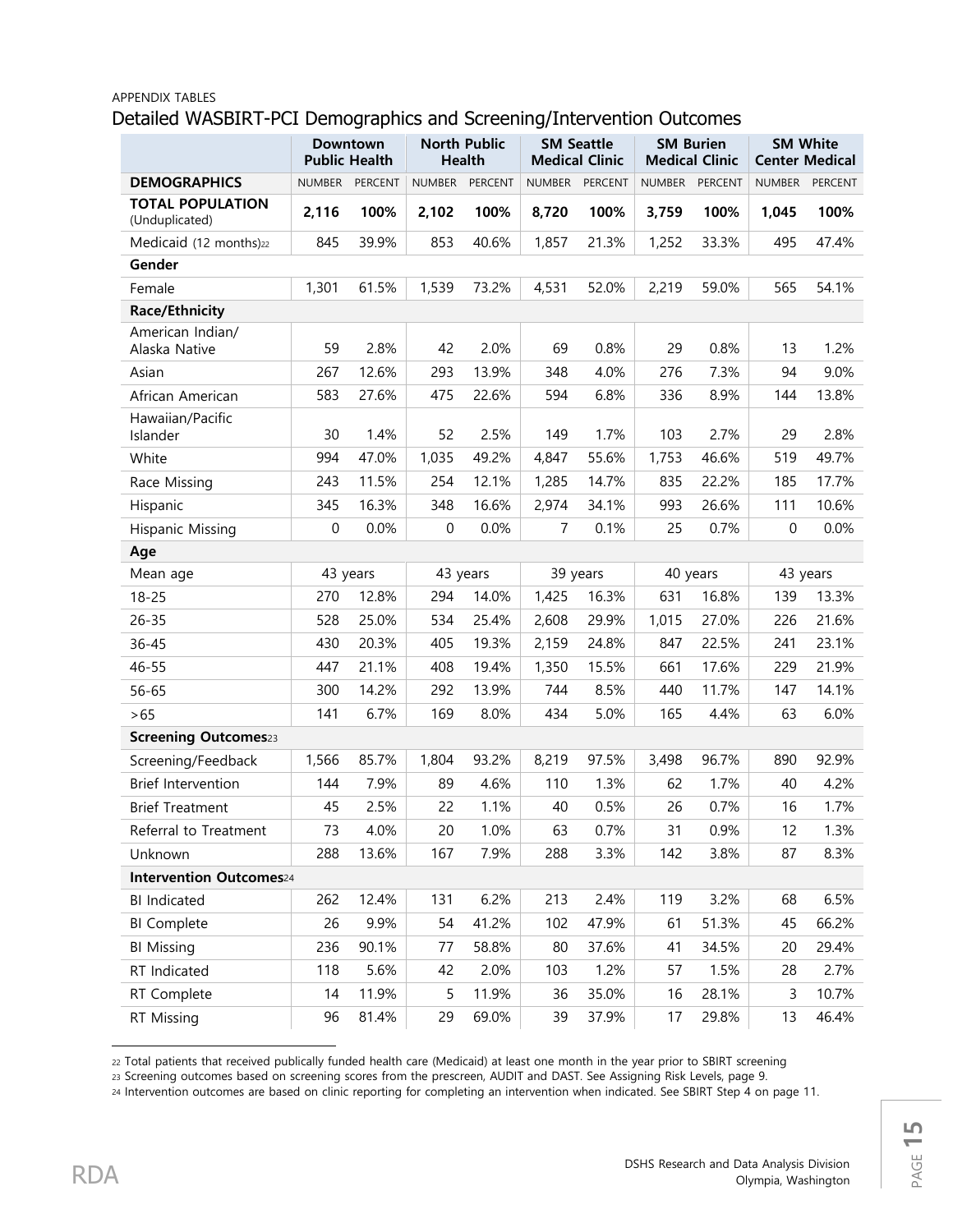### APPENDIX TABLES Detailed WASBIRT-PCI Demographics and Screening/Intervention Outcomes

|                                           | Downtown<br><b>Public Health</b> |                | <b>North Public</b><br>Health |                | <b>SM Seattle</b><br><b>Medical Clinic</b> |                | <b>SM Burien</b><br><b>Medical Clinic</b> |                | <b>SM White</b><br><b>Center Medical</b> |          |  |
|-------------------------------------------|----------------------------------|----------------|-------------------------------|----------------|--------------------------------------------|----------------|-------------------------------------------|----------------|------------------------------------------|----------|--|
| <b>DEMOGRAPHICS</b>                       | <b>NUMBER</b>                    | <b>PERCENT</b> | <b>NUMBER</b>                 | <b>PERCENT</b> | <b>NUMBER</b>                              | <b>PERCENT</b> | <b>NUMBER</b>                             | <b>PERCENT</b> | <b>NUMBER</b>                            | PERCENT  |  |
| <b>TOTAL POPULATION</b><br>(Unduplicated) | 2,116                            | 100%           | 2,102                         | 100%           | 8,720                                      | 100%           | 3,759                                     | 100%           | 1,045                                    | 100%     |  |
| Medicaid (12 months)22                    | 845                              | 39.9%          | 853                           | 40.6%          | 1,857                                      | 21.3%          | 1,252                                     | 33.3%          | 495                                      | 47.4%    |  |
| Gender                                    |                                  |                |                               |                |                                            |                |                                           |                |                                          |          |  |
| Female                                    | 1,301                            | 61.5%          | 1,539                         | 73.2%          | 4,531                                      | 52.0%          | 2,219                                     | 59.0%          | 565                                      | 54.1%    |  |
| <b>Race/Ethnicity</b>                     |                                  |                |                               |                |                                            |                |                                           |                |                                          |          |  |
| American Indian/<br>Alaska Native         | 59                               | 2.8%           | 42                            | 2.0%           | 69                                         | 0.8%           | 29                                        | 0.8%           | 13                                       | 1.2%     |  |
| Asian                                     | 267                              | 12.6%          | 293                           | 13.9%          | 348                                        | 4.0%           | 276                                       | 7.3%           | 94                                       | 9.0%     |  |
| African American                          | 583                              | 27.6%          | 475                           | 22.6%          | 594                                        | 6.8%           | 336                                       | 8.9%           | 144                                      | 13.8%    |  |
| Hawaiian/Pacific<br>Islander              | 30                               | 1.4%           | 52                            | 2.5%           | 149                                        | 1.7%           | 103                                       | 2.7%           | 29                                       | 2.8%     |  |
| White                                     | 994                              | 47.0%          | 1,035                         | 49.2%          | 4,847                                      | 55.6%          | 1,753                                     | 46.6%          | 519                                      | 49.7%    |  |
| Race Missing                              | 243                              | 11.5%          | 254                           | 12.1%          | 1,285                                      | 14.7%          | 835                                       | 22.2%          | 185                                      | 17.7%    |  |
| Hispanic                                  | 345                              | 16.3%          | 348                           | 16.6%          | 2,974                                      | 34.1%          | 993                                       | 26.6%          | 111                                      | 10.6%    |  |
| Hispanic Missing                          | $\mathbf 0$                      | 0.0%           | $\mathbf 0$                   | 0.0%           | 7                                          | 0.1%           | 25                                        | 0.7%           | $\Omega$                                 | 0.0%     |  |
| Age                                       |                                  |                |                               |                |                                            |                |                                           |                |                                          |          |  |
| Mean age                                  |                                  | 43 years       |                               | 43 years       |                                            | 39 years       |                                           | 40 years       |                                          | 43 years |  |
| $18 - 25$                                 | 270                              | 12.8%          | 294                           | 14.0%          | 1,425                                      | 16.3%          | 631                                       | 16.8%          | 139                                      | 13.3%    |  |
| $26 - 35$                                 | 528                              | 25.0%          | 534                           | 25.4%          | 2,608                                      | 29.9%          | 1,015                                     | 27.0%          | 226                                      | 21.6%    |  |
| 36-45                                     | 430                              | 20.3%          | 405                           | 19.3%          | 2,159                                      | 24.8%          | 847                                       | 22.5%          | 241                                      | 23.1%    |  |
| $46 - 55$                                 | 447                              | 21.1%          | 408                           | 19.4%          | 1,350                                      | 15.5%          | 661                                       | 17.6%          | 229                                      | 21.9%    |  |
| 56-65                                     | 300                              | 14.2%          | 292                           | 13.9%          | 744                                        | 8.5%           | 440                                       | 11.7%          | 147                                      | 14.1%    |  |
| >65                                       | 141                              | 6.7%           | 169                           | 8.0%           | 434                                        | 5.0%           | 165                                       | 4.4%           | 63                                       | 6.0%     |  |
| <b>Screening Outcomes23</b>               |                                  |                |                               |                |                                            |                |                                           |                |                                          |          |  |
| Screening/Feedback                        | 1,566                            | 85.7%          | 1,804                         | 93.2%          | 8,219                                      | 97.5%          | 3,498                                     | 96.7%          | 890                                      | 92.9%    |  |
| <b>Brief Intervention</b>                 | 144                              | 7.9%           | 89                            | 4.6%           | 110                                        | 1.3%           | 62                                        | 1.7%           | 40                                       | 4.2%     |  |
| <b>Brief Treatment</b>                    | 45                               | 2.5%           | 22                            | 1.1%           | 40                                         | 0.5%           | 26                                        | 0.7%           | 16                                       | 1.7%     |  |
| Referral to Treatment                     | 73                               | 4.0%           | 20                            | 1.0%           | 63                                         | 0.7%           | 31                                        | 0.9%           | 12                                       | 1.3%     |  |
| Unknown                                   | 288                              | 13.6%          | 167                           | 7.9%           | 288                                        | 3.3%           | 142                                       | 3.8%           | 87                                       | 8.3%     |  |
| <b>Intervention Outcomes24</b>            |                                  |                |                               |                |                                            |                |                                           |                |                                          |          |  |
| <b>BI</b> Indicated                       | 262                              | 12.4%          | 131                           | 6.2%           | 213                                        | 2.4%           | 119                                       | 3.2%           | 68                                       | 6.5%     |  |
| <b>BI</b> Complete                        | 26                               | 9.9%           | 54                            | 41.2%          | 102                                        | 47.9%          | 61                                        | 51.3%          | 45                                       | 66.2%    |  |
| <b>BI Missing</b>                         | 236                              | 90.1%          | 77                            | 58.8%          | 80                                         | 37.6%          | 41                                        | 34.5%          | 20                                       | 29.4%    |  |
| RT Indicated                              | 118                              | 5.6%           | 42                            | 2.0%           | 103                                        | 1.2%           | 57                                        | 1.5%           | 28                                       | 2.7%     |  |
| RT Complete                               | 14                               | 11.9%          | 5                             | 11.9%          | 36                                         | 35.0%          | 16                                        | 28.1%          | 3                                        | 10.7%    |  |
| RT Missing                                | 96                               | 81.4%          | 29                            | 69.0%          | 39                                         | 37.9%          | 17                                        | 29.8%          | 13                                       | 46.4%    |  |

 $\overline{\phantom{a}}$ <sup>22</sup> Total patients that received publically funded health care (Medicaid) at least one month in the year prior to SBIRT screening

<sup>23</sup> Screening outcomes based on screening scores from the prescreen, AUDIT and DAST. See Assigning Risk Levels, page 9.

<sup>24</sup> Intervention outcomes are based on clinic reporting for completing an intervention when indicated. See SBIRT Step 4 on page 11.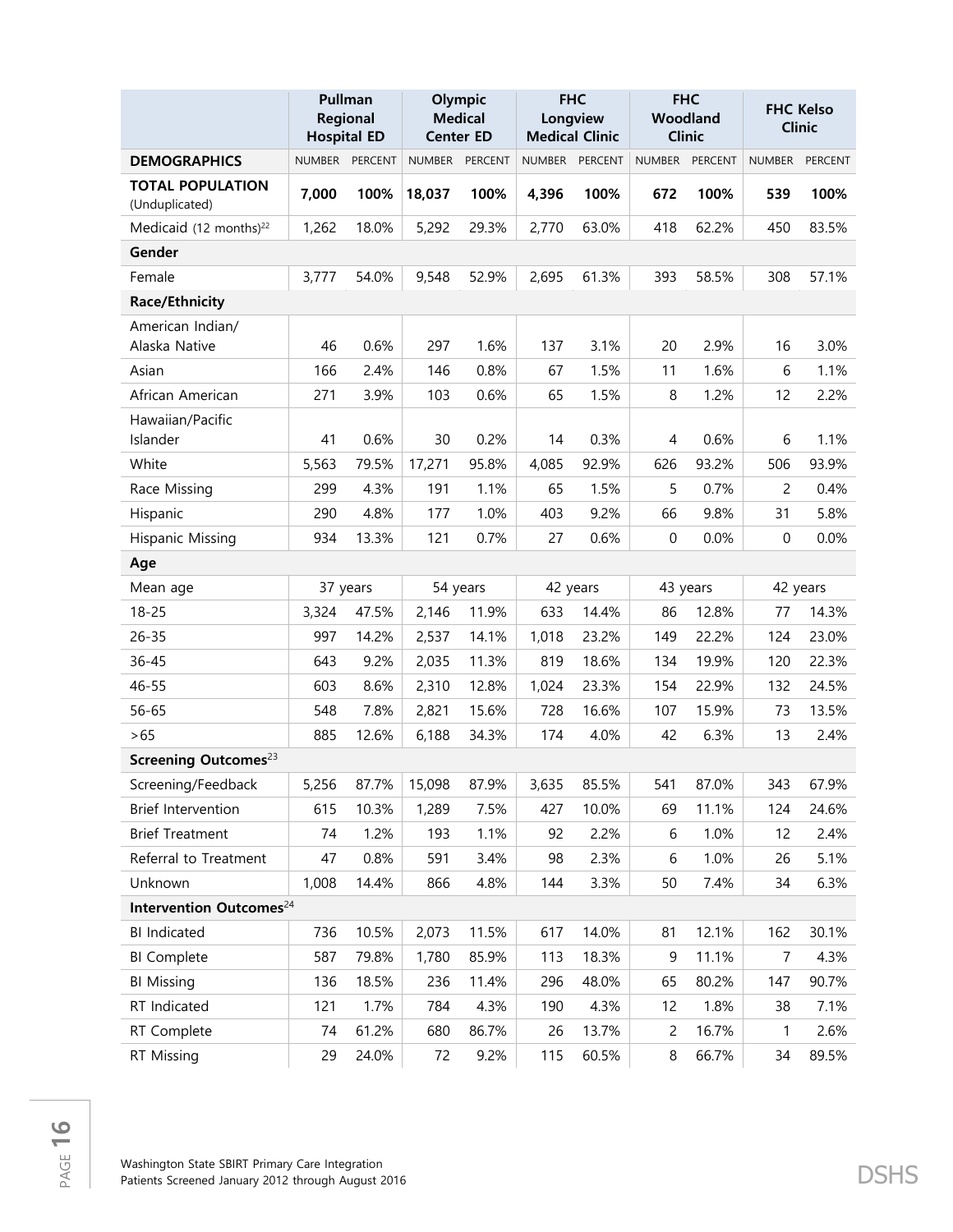|                                           | Pullman<br>Regional<br><b>Hospital ED</b> |                | Olympic<br><b>Medical</b><br><b>Center ED</b> |       | <b>FHC</b><br>Longview<br><b>Medical Clinic</b> |         |                | <b>FHC</b><br>Woodland<br><b>Clinic</b> | <b>FHC Kelso</b><br><b>Clinic</b> |         |  |
|-------------------------------------------|-------------------------------------------|----------------|-----------------------------------------------|-------|-------------------------------------------------|---------|----------------|-----------------------------------------|-----------------------------------|---------|--|
| <b>DEMOGRAPHICS</b>                       |                                           | NUMBER PERCENT | NUMBER PERCENT                                |       | NUMBER                                          | PERCENT |                | NUMBER PERCENT                          | <b>NUMBER</b>                     | PERCENT |  |
| <b>TOTAL POPULATION</b><br>(Unduplicated) | 7,000                                     | 100%           | 18,037                                        | 100%  | 4,396                                           | 100%    | 672            | 100%                                    | 539                               | 100%    |  |
| Medicaid (12 months) <sup>22</sup>        | 1,262                                     | 18.0%          | 5,292                                         | 29.3% | 2,770                                           | 63.0%   | 418            | 62.2%                                   | 450                               | 83.5%   |  |
| Gender                                    |                                           |                |                                               |       |                                                 |         |                |                                         |                                   |         |  |
| Female                                    | 3,777                                     | 54.0%          | 9,548                                         | 52.9% | 2,695                                           | 61.3%   | 393            | 58.5%                                   | 308                               | 57.1%   |  |
| <b>Race/Ethnicity</b>                     |                                           |                |                                               |       |                                                 |         |                |                                         |                                   |         |  |
| American Indian/                          |                                           |                |                                               |       |                                                 |         |                |                                         |                                   |         |  |
| Alaska Native                             | 46                                        | 0.6%           | 297                                           | 1.6%  | 137                                             | 3.1%    | 20             | 2.9%                                    | 16                                | 3.0%    |  |
| Asian                                     | 166                                       | 2.4%           | 146                                           | 0.8%  | 67                                              | 1.5%    | 11             | 1.6%                                    | 6                                 | 1.1%    |  |
| African American                          | 271                                       | 3.9%           | 103                                           | 0.6%  | 65                                              | 1.5%    | 8              | 1.2%                                    | 12                                | 2.2%    |  |
| Hawaiian/Pacific<br>Islander              | 41                                        | 0.6%           | 30                                            | 0.2%  | 14                                              | 0.3%    | $\overline{4}$ | 0.6%                                    | 6                                 | 1.1%    |  |
| White                                     | 5,563                                     | 79.5%          | 17,271                                        | 95.8% | 4,085                                           | 92.9%   | 626            | 93.2%                                   | 506                               | 93.9%   |  |
| Race Missing                              | 299                                       | 4.3%           | 191                                           | 1.1%  | 65                                              | 1.5%    | 5              | 0.7%                                    | 2                                 | 0.4%    |  |
| Hispanic                                  | 290                                       | 4.8%           | 177                                           | 1.0%  | 403                                             | 9.2%    | 66             | 9.8%                                    | 31                                | 5.8%    |  |
| Hispanic Missing                          | 934                                       | 13.3%          | 121                                           | 0.7%  | 27                                              | 0.6%    | 0              | 0.0%                                    | 0                                 | 0.0%    |  |
| Age                                       |                                           |                |                                               |       |                                                 |         |                |                                         |                                   |         |  |
| Mean age                                  |                                           | 37 years       | 54 years                                      |       | 42 years                                        |         | 43 years       |                                         | 42 years                          |         |  |
| $18 - 25$                                 | 3,324                                     | 47.5%          | 2,146                                         | 11.9% | 633                                             | 14.4%   | 86             | 12.8%                                   | 77                                | 14.3%   |  |
| $26 - 35$                                 | 997                                       | 14.2%          | 2,537                                         | 14.1% | 1,018                                           | 23.2%   | 149            | 22.2%                                   | 124                               | 23.0%   |  |
| $36 - 45$                                 | 643                                       | 9.2%           | 2,035                                         | 11.3% | 819                                             | 18.6%   | 134            | 19.9%                                   | 120                               | 22.3%   |  |
| 46-55                                     | 603                                       | 8.6%           | 2,310                                         | 12.8% | 1,024                                           | 23.3%   | 154            | 22.9%                                   | 132                               | 24.5%   |  |
| $56 - 65$                                 | 548                                       | 7.8%           | 2,821                                         | 15.6% | 728                                             | 16.6%   | 107            | 15.9%                                   | 73                                | 13.5%   |  |
| >65                                       | 885                                       | 12.6%          | 6,188                                         | 34.3% | 174                                             | 4.0%    | 42             | 6.3%                                    | 13                                | 2.4%    |  |
| Screening Outcomes <sup>23</sup>          |                                           |                |                                               |       |                                                 |         |                |                                         |                                   |         |  |
| Screening/Feedback                        | 5,256                                     | 87.7%          | 15,098                                        | 87.9% | 3,635                                           | 85.5%   | 541            | 87.0%                                   | 343                               | 67.9%   |  |
| Brief Intervention                        | 615                                       | 10.3%          | 1,289                                         | 7.5%  | 427                                             | 10.0%   | 69             | 11.1%                                   | 124                               | 24.6%   |  |
| <b>Brief Treatment</b>                    | 74                                        | 1.2%           | 193                                           | 1.1%  | 92                                              | 2.2%    | 6              | 1.0%                                    | 12                                | 2.4%    |  |
| Referral to Treatment                     | 47                                        | 0.8%           | 591                                           | 3.4%  | 98                                              | 2.3%    | 6              | 1.0%                                    | 26                                | 5.1%    |  |
| Unknown                                   | 1,008                                     | 14.4%          | 866                                           | 4.8%  | 144                                             | 3.3%    | 50             | 7.4%                                    | 34                                | 6.3%    |  |
| Intervention Outcomes <sup>24</sup>       |                                           |                |                                               |       |                                                 |         |                |                                         |                                   |         |  |
| BI Indicated                              | 736                                       | 10.5%          | 2,073                                         | 11.5% | 617                                             | 14.0%   | 81             | 12.1%                                   | 162                               | 30.1%   |  |
| <b>BI</b> Complete                        | 587                                       | 79.8%          | 1,780                                         | 85.9% | 113                                             | 18.3%   | 9              | 11.1%                                   | 7                                 | 4.3%    |  |
| <b>BI Missing</b>                         | 136                                       | 18.5%          | 236                                           | 11.4% | 296                                             | 48.0%   | 65             | 80.2%                                   | 147                               | 90.7%   |  |
| RT Indicated                              | 121                                       | 1.7%           | 784                                           | 4.3%  | 190                                             | 4.3%    | 12             | 1.8%                                    | 38                                | 7.1%    |  |
| RT Complete                               | 74                                        | 61.2%          | 680                                           | 86.7% | 26                                              | 13.7%   | $\overline{c}$ | 16.7%                                   | 1                                 | 2.6%    |  |
| RT Missing                                | 29                                        | 24.0%          | 72                                            | 9.2%  | 115                                             | 60.5%   | 8              | 66.7%                                   | 34                                | 89.5%   |  |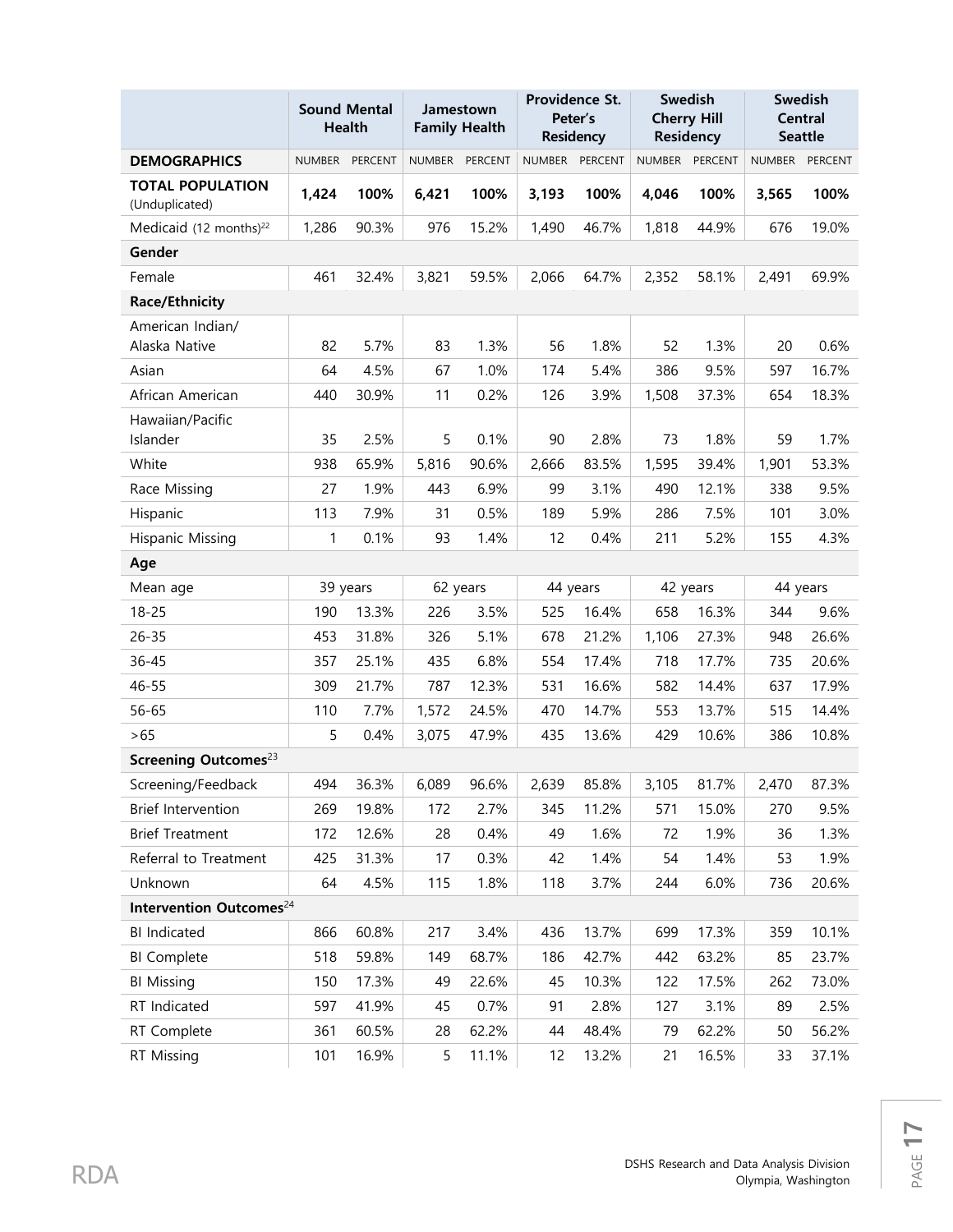|                                           | <b>Sound Mental</b><br><b>Health</b> |          | Jamestown<br><b>Family Health</b> |         | Providence St.<br>Peter's<br><b>Residency</b> |         | Swedish<br><b>Cherry Hill</b><br><b>Residency</b> |                | Swedish<br>Central<br><b>Seattle</b> |                |
|-------------------------------------------|--------------------------------------|----------|-----------------------------------|---------|-----------------------------------------------|---------|---------------------------------------------------|----------------|--------------------------------------|----------------|
| <b>DEMOGRAPHICS</b>                       | <b>NUMBER</b>                        | PERCENT  | NUMBER                            | PERCENT | NUMBER                                        | PERCENT |                                                   | NUMBER PERCENT |                                      | NUMBER PERCENT |
| <b>TOTAL POPULATION</b><br>(Unduplicated) | 1,424                                | 100%     | 6,421                             | 100%    | 3,193                                         | 100%    | 4,046                                             | 100%           | 3,565                                | 100%           |
| Medicaid (12 months) <sup>22</sup>        | 1,286                                | 90.3%    | 976                               | 15.2%   | 1,490                                         | 46.7%   | 1,818                                             | 44.9%          | 676                                  | 19.0%          |
| Gender                                    |                                      |          |                                   |         |                                               |         |                                                   |                |                                      |                |
| Female                                    | 461                                  | 32.4%    | 3,821                             | 59.5%   | 2,066                                         | 64.7%   | 2,352                                             | 58.1%          | 2,491                                | 69.9%          |
| <b>Race/Ethnicity</b>                     |                                      |          |                                   |         |                                               |         |                                                   |                |                                      |                |
| American Indian/                          |                                      |          |                                   |         |                                               |         |                                                   |                |                                      |                |
| Alaska Native                             | 82                                   | 5.7%     | 83                                | 1.3%    | 56                                            | 1.8%    | 52                                                | 1.3%           | 20                                   | 0.6%           |
| Asian                                     | 64                                   | 4.5%     | 67                                | 1.0%    | 174                                           | 5.4%    | 386                                               | 9.5%           | 597                                  | 16.7%          |
| African American                          | 440                                  | 30.9%    | 11                                | 0.2%    | 126                                           | 3.9%    | 1,508                                             | 37.3%          | 654                                  | 18.3%          |
| Hawaiian/Pacific<br>Islander              | 35                                   | 2.5%     | 5                                 | 0.1%    | 90                                            | 2.8%    | 73                                                | 1.8%           | 59                                   | 1.7%           |
| White                                     | 938                                  | 65.9%    | 5,816                             | 90.6%   | 2,666                                         | 83.5%   | 1,595                                             | 39.4%          | 1,901                                | 53.3%          |
| Race Missing                              | 27                                   | 1.9%     | 443                               | 6.9%    | 99                                            | 3.1%    | 490                                               | 12.1%          | 338                                  | 9.5%           |
| Hispanic                                  | 113                                  | 7.9%     | 31                                | 0.5%    | 189                                           | 5.9%    | 286                                               | 7.5%           | 101                                  | 3.0%           |
| Hispanic Missing                          | 1                                    | 0.1%     | 93                                | 1.4%    | 12                                            | 0.4%    | 211                                               | 5.2%           | 155                                  | 4.3%           |
| Age                                       |                                      |          |                                   |         |                                               |         |                                                   |                |                                      |                |
| Mean age                                  |                                      | 39 years | 62 years                          |         | 44 years                                      |         | 42 years                                          |                | 44 years                             |                |
| $18 - 25$                                 | 190                                  | 13.3%    | 226                               | 3.5%    | 525                                           | 16.4%   | 658                                               | 16.3%          | 344                                  | 9.6%           |
| $26 - 35$                                 | 453                                  | 31.8%    | 326                               | 5.1%    | 678                                           | 21.2%   | 1,106                                             | 27.3%          | 948                                  | 26.6%          |
| $36 - 45$                                 | 357                                  | 25.1%    | 435                               | 6.8%    | 554                                           | 17.4%   | 718                                               | 17.7%          | 735                                  | 20.6%          |
| 46-55                                     | 309                                  | 21.7%    | 787                               | 12.3%   | 531                                           | 16.6%   | 582                                               | 14.4%          | 637                                  | 17.9%          |
| $56 - 65$                                 | 110                                  | 7.7%     | 1,572                             | 24.5%   | 470                                           | 14.7%   | 553                                               | 13.7%          | 515                                  | 14.4%          |
| >65                                       | 5                                    | 0.4%     | 3,075                             | 47.9%   | 435                                           | 13.6%   | 429                                               | 10.6%          | 386                                  | 10.8%          |
| Screening Outcomes <sup>23</sup>          |                                      |          |                                   |         |                                               |         |                                                   |                |                                      |                |
| Screening/Feedback                        | 494                                  | 36.3%    | 6,089                             | 96.6%   | 2,639                                         | 85.8%   | 3,105                                             | 81.7%          | 2,470                                | 87.3%          |
| Brief Intervention                        | 269                                  | 19.8%    | 172                               | 2.7%    | 345                                           | 11.2%   | 571                                               | 15.0%          | 270                                  | 9.5%           |
| <b>Brief Treatment</b>                    | 172                                  | 12.6%    | 28                                | 0.4%    | 49                                            | 1.6%    | 72                                                | 1.9%           | 36                                   | 1.3%           |
| Referral to Treatment                     | 425                                  | 31.3%    | 17                                | 0.3%    | 42                                            | 1.4%    | 54                                                | 1.4%           | 53                                   | 1.9%           |
| Unknown                                   | 64                                   | 4.5%     | 115                               | 1.8%    | 118                                           | 3.7%    | 244                                               | 6.0%           | 736                                  | 20.6%          |
| Intervention Outcomes <sup>24</sup>       |                                      |          |                                   |         |                                               |         |                                                   |                |                                      |                |
| BI Indicated                              | 866                                  | 60.8%    | 217                               | 3.4%    | 436                                           | 13.7%   | 699                                               | 17.3%          | 359                                  | 10.1%          |
| <b>BI</b> Complete                        | 518                                  | 59.8%    | 149                               | 68.7%   | 186                                           | 42.7%   | 442                                               | 63.2%          | 85                                   | 23.7%          |
| <b>BI Missing</b>                         | 150                                  | 17.3%    | 49                                | 22.6%   | 45                                            | 10.3%   | 122                                               | 17.5%          | 262                                  | 73.0%          |
| RT Indicated                              | 597                                  | 41.9%    | 45                                | 0.7%    | 91                                            | 2.8%    | 127                                               | 3.1%           | 89                                   | 2.5%           |
| RT Complete                               | 361                                  | 60.5%    | 28                                | 62.2%   | 44                                            | 48.4%   | 79                                                | 62.2%          | 50                                   | 56.2%          |
| RT Missing                                | 101                                  | 16.9%    | 5                                 | 11.1%   | 12                                            | 13.2%   | 21                                                | 16.5%          | 33                                   | 37.1%          |